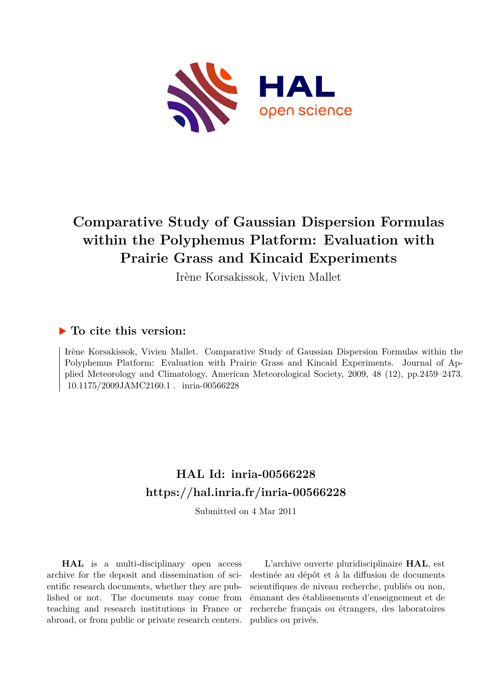

## **Comparative Study of Gaussian Dispersion Formulas within the Polyphemus Platform: Evaluation with Prairie Grass and Kincaid Experiments**

Irène Korsakissok, Vivien Mallet

### **To cite this version:**

Irène Korsakissok, Vivien Mallet. Comparative Study of Gaussian Dispersion Formulas within the Polyphemus Platform: Evaluation with Prairie Grass and Kincaid Experiments. Journal of Applied Meteorology and Climatology, American Meteorological Society, 2009, 48 (12), pp.2459–2473. 10.1175/2009JAMC2160.1 . inria-00566228

## **HAL Id: inria-00566228 <https://hal.inria.fr/inria-00566228>**

Submitted on 4 Mar 2011

**HAL** is a multi-disciplinary open access archive for the deposit and dissemination of scientific research documents, whether they are published or not. The documents may come from teaching and research institutions in France or abroad, or from public or private research centers.

L'archive ouverte pluridisciplinaire **HAL**, est destinée au dépôt et à la diffusion de documents scientifiques de niveau recherche, publiés ou non, émanant des établissements d'enseignement et de recherche français ou étrangers, des laboratoires publics ou privés.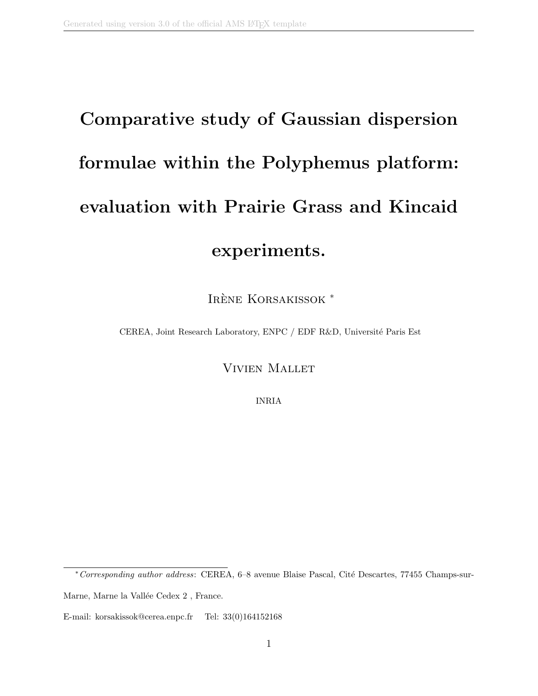# Comparative study of Gaussian dispersion formulae within the Polyphemus platform: evaluation with Prairie Grass and Kincaid experiments.

IRÈNE KORSAKISSOK<sup>\*</sup>

CEREA, Joint Research Laboratory, ENPC / EDF R&D, Université Paris Est

Vivien Mallet

INRIA

E-mail: korsakissok@cerea.enpc.fr Tel: 33(0)164152168

<sup>\*</sup> Corresponding author address: CEREA, 6–8 avenue Blaise Pascal, Cité Descartes, 77455 Champs-sur-Marne, Marne la Vallée Cedex 2, France.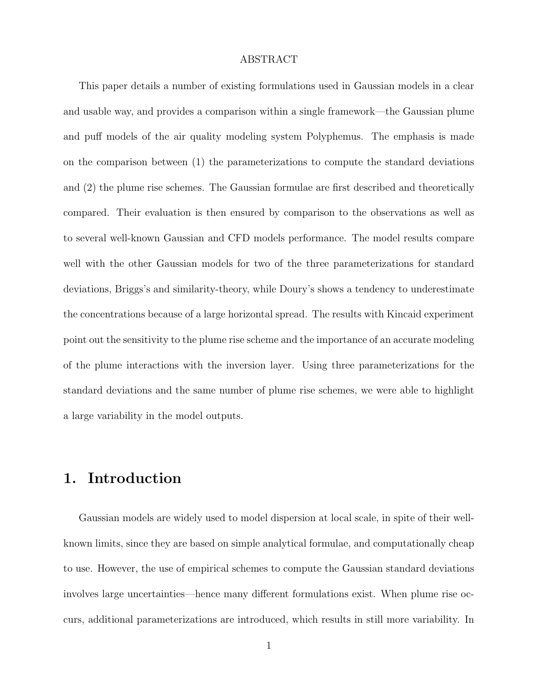#### ABSTRACT

This paper details a number of existing formulations used in Gaussian models in a clear and usable way, and provides a comparison within a single framework—the Gaussian plume and puff models of the air quality modeling system Polyphemus. The emphasis is made on the comparison between (1) the parameterizations to compute the standard deviations and (2) the plume rise schemes. The Gaussian formulae are first described and theoretically compared. Their evaluation is then ensured by comparison to the observations as well as to several well-known Gaussian and CFD models performance. The model results compare well with the other Gaussian models for two of the three parameterizations for standard deviations, Briggs's and similarity-theory, while Doury's shows a tendency to underestimate the concentrations because of a large horizontal spread. The results with Kincaid experiment point out the sensitivity to the plume rise scheme and the importance of an accurate modeling of the plume interactions with the inversion layer. Using three parameterizations for the standard deviations and the same number of plume rise schemes, we were able to highlight a large variability in the model outputs.

## 1. Introduction

Gaussian models are widely used to model dispersion at local scale, in spite of their wellknown limits, since they are based on simple analytical formulae, and computationally cheap to use. However, the use of empirical schemes to compute the Gaussian standard deviations involves large uncertainties—hence many different formulations exist. When plume rise occurs, additional parameterizations are introduced, which results in still more variability. In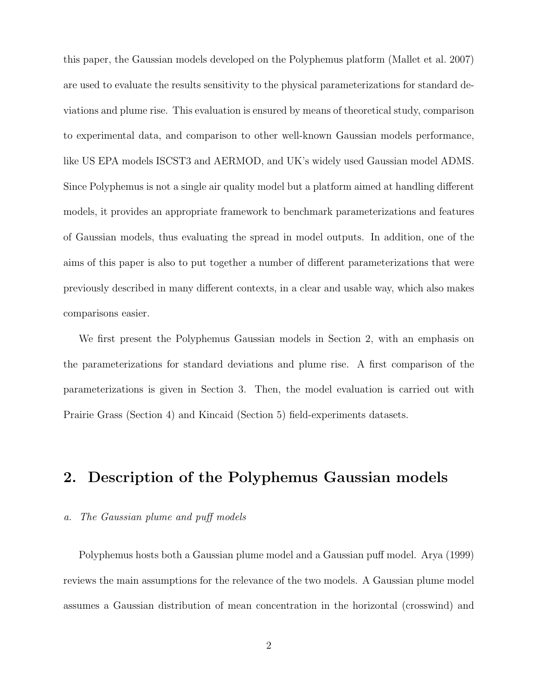this paper, the Gaussian models developed on the Polyphemus platform (Mallet et al. 2007) are used to evaluate the results sensitivity to the physical parameterizations for standard deviations and plume rise. This evaluation is ensured by means of theoretical study, comparison to experimental data, and comparison to other well-known Gaussian models performance, like US EPA models ISCST3 and AERMOD, and UK's widely used Gaussian model ADMS. Since Polyphemus is not a single air quality model but a platform aimed at handling different models, it provides an appropriate framework to benchmark parameterizations and features of Gaussian models, thus evaluating the spread in model outputs. In addition, one of the aims of this paper is also to put together a number of different parameterizations that were previously described in many different contexts, in a clear and usable way, which also makes comparisons easier.

We first present the Polyphemus Gaussian models in Section 2, with an emphasis on the parameterizations for standard deviations and plume rise. A first comparison of the parameterizations is given in Section 3. Then, the model evaluation is carried out with Prairie Grass (Section 4) and Kincaid (Section 5) field-experiments datasets.

## 2. Description of the Polyphemus Gaussian models

#### a. The Gaussian plume and puff models

Polyphemus hosts both a Gaussian plume model and a Gaussian puff model. Arya (1999) reviews the main assumptions for the relevance of the two models. A Gaussian plume model assumes a Gaussian distribution of mean concentration in the horizontal (crosswind) and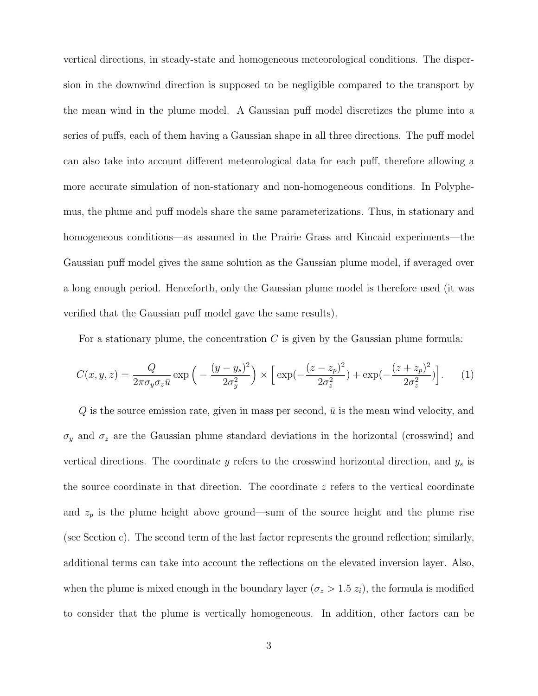vertical directions, in steady-state and homogeneous meteorological conditions. The dispersion in the downwind direction is supposed to be negligible compared to the transport by the mean wind in the plume model. A Gaussian puff model discretizes the plume into a series of puffs, each of them having a Gaussian shape in all three directions. The puff model can also take into account different meteorological data for each puff, therefore allowing a more accurate simulation of non-stationary and non-homogeneous conditions. In Polyphemus, the plume and puff models share the same parameterizations. Thus, in stationary and homogeneous conditions—as assumed in the Prairie Grass and Kincaid experiments—the Gaussian puff model gives the same solution as the Gaussian plume model, if averaged over a long enough period. Henceforth, only the Gaussian plume model is therefore used (it was verified that the Gaussian puff model gave the same results).

For a stationary plume, the concentration  $C$  is given by the Gaussian plume formula:

$$
C(x, y, z) = \frac{Q}{2\pi\sigma_y \sigma_z \bar{u}} \exp\left(-\frac{(y - y_s)^2}{2\sigma_y^2}\right) \times \left[\exp(-\frac{(z - z_p)^2}{2\sigma_z^2}) + \exp(-\frac{(z + z_p)^2}{2\sigma_z^2})\right].
$$
 (1)

 $Q$  is the source emission rate, given in mass per second,  $\bar{u}$  is the mean wind velocity, and  $\sigma_y$  and  $\sigma_z$  are the Gaussian plume standard deviations in the horizontal (crosswind) and vertical directions. The coordinate  $y$  refers to the crosswind horizontal direction, and  $y_s$  is the source coordinate in that direction. The coordinate z refers to the vertical coordinate and  $z_p$  is the plume height above ground—sum of the source height and the plume rise (see Section c). The second term of the last factor represents the ground reflection; similarly, additional terms can take into account the reflections on the elevated inversion layer. Also, when the plume is mixed enough in the boundary layer ( $\sigma_z > 1.5 z_i$ ), the formula is modified to consider that the plume is vertically homogeneous. In addition, other factors can be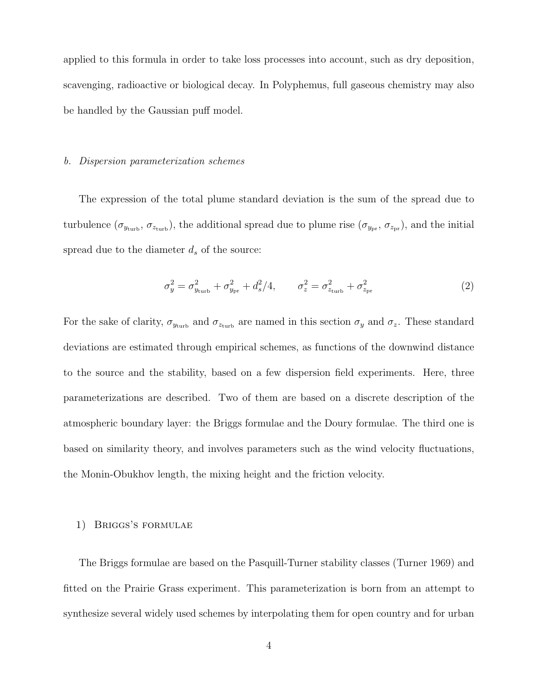applied to this formula in order to take loss processes into account, such as dry deposition, scavenging, radioactive or biological decay. In Polyphemus, full gaseous chemistry may also be handled by the Gaussian puff model.

#### b. Dispersion parameterization schemes

The expression of the total plume standard deviation is the sum of the spread due to turbulence  $(\sigma_{y_{\text{turb}}}, \sigma_{z_{\text{turb}}})$ , the additional spread due to plume rise  $(\sigma_{y_{\text{pr}}}, \sigma_{z_{\text{pr}}})$ , and the initial spread due to the diameter  $d_s$  of the source:

$$
\sigma_y^2 = \sigma_{y_{\text{turb}}}^2 + \sigma_{y_{\text{pr}}}^2 + d_s^2/4, \qquad \sigma_z^2 = \sigma_{z_{\text{turb}}}^2 + \sigma_{z_{\text{pr}}}^2 \tag{2}
$$

For the sake of clarity,  $\sigma_{y_{\text{turb}}}$  and  $\sigma_{z_{\text{turb}}}$  are named in this section  $\sigma_y$  and  $\sigma_z$ . These standard deviations are estimated through empirical schemes, as functions of the downwind distance to the source and the stability, based on a few dispersion field experiments. Here, three parameterizations are described. Two of them are based on a discrete description of the atmospheric boundary layer: the Briggs formulae and the Doury formulae. The third one is based on similarity theory, and involves parameters such as the wind velocity fluctuations, the Monin-Obukhov length, the mixing height and the friction velocity.

#### 1) Briggs's formulae

The Briggs formulae are based on the Pasquill-Turner stability classes (Turner 1969) and fitted on the Prairie Grass experiment. This parameterization is born from an attempt to synthesize several widely used schemes by interpolating them for open country and for urban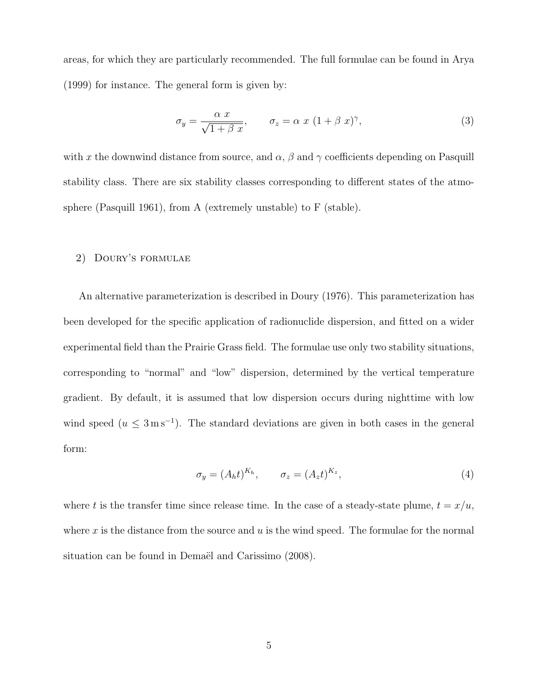areas, for which they are particularly recommended. The full formulae can be found in Arya (1999) for instance. The general form is given by:

$$
\sigma_y = \frac{\alpha x}{\sqrt{1 + \beta x}}, \qquad \sigma_z = \alpha x (1 + \beta x)^\gamma,
$$
\n(3)

with x the downwind distance from source, and  $\alpha$ ,  $\beta$  and  $\gamma$  coefficients depending on Pasquill stability class. There are six stability classes corresponding to different states of the atmosphere (Pasquill 1961), from A (extremely unstable) to F (stable).

#### 2) Doury's formulae

An alternative parameterization is described in Doury (1976). This parameterization has been developed for the specific application of radionuclide dispersion, and fitted on a wider experimental field than the Prairie Grass field. The formulae use only two stability situations, corresponding to "normal" and "low" dispersion, determined by the vertical temperature gradient. By default, it is assumed that low dispersion occurs during nighttime with low wind speed  $(u \leq 3 \,\mathrm{m\,s^{-1}})$ . The standard deviations are given in both cases in the general form:

$$
\sigma_y = (A_h t)^{K_h}, \qquad \sigma_z = (A_z t)^{K_z}, \tag{4}
$$

where t is the transfer time since release time. In the case of a steady-state plume,  $t = x/u$ , where x is the distance from the source and  $u$  is the wind speed. The formulae for the normal situation can be found in Demaël and Carissimo (2008).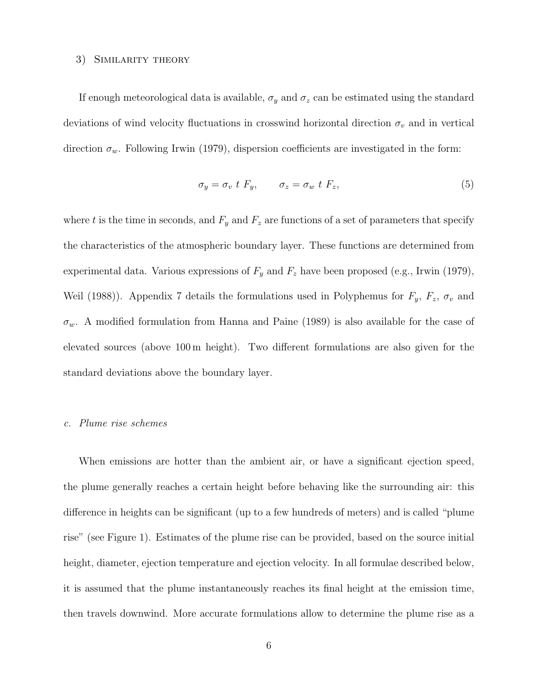#### 3) Similarity theory

If enough meteorological data is available,  $\sigma_y$  and  $\sigma_z$  can be estimated using the standard deviations of wind velocity fluctuations in crosswind horizontal direction  $\sigma_v$  and in vertical direction  $\sigma_w$ . Following Irwin (1979), dispersion coefficients are investigated in the form:

$$
\sigma_y = \sigma_v \ t \ F_y, \qquad \sigma_z = \sigma_w \ t \ F_z,
$$
\n<sup>(5)</sup>

where t is the time in seconds, and  $F_y$  and  $F_z$  are functions of a set of parameters that specify the characteristics of the atmospheric boundary layer. These functions are determined from experimental data. Various expressions of  $F_y$  and  $F_z$  have been proposed (e.g., Irwin (1979), Weil (1988)). Appendix 7 details the formulations used in Polyphemus for  $F_y$ ,  $F_z$ ,  $\sigma_y$  and  $\sigma_w$ . A modified formulation from Hanna and Paine (1989) is also available for the case of elevated sources (above 100 m height). Two different formulations are also given for the standard deviations above the boundary layer.

#### c. Plume rise schemes

When emissions are hotter than the ambient air, or have a significant ejection speed, the plume generally reaches a certain height before behaving like the surrounding air: this difference in heights can be significant (up to a few hundreds of meters) and is called "plume rise" (see Figure 1). Estimates of the plume rise can be provided, based on the source initial height, diameter, ejection temperature and ejection velocity. In all formulae described below, it is assumed that the plume instantaneously reaches its final height at the emission time, then travels downwind. More accurate formulations allow to determine the plume rise as a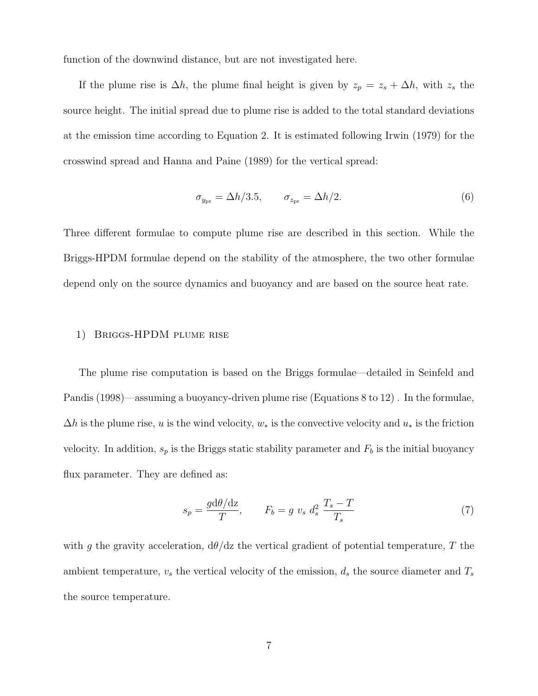function of the downwind distance, but are not investigated here.

If the plume rise is  $\Delta h$ , the plume final height is given by  $z_p = z_s + \Delta h$ , with  $z_s$  the source height. The initial spread due to plume rise is added to the total standard deviations at the emission time according to Equation 2. It is estimated following Irwin (1979) for the crosswind spread and Hanna and Paine (1989) for the vertical spread:

$$
\sigma_{y_{\rm pr}} = \Delta h/3.5, \qquad \sigma_{z_{\rm pr}} = \Delta h/2. \tag{6}
$$

Three different formulae to compute plume rise are described in this section. While the Briggs-HPDM formulae depend on the stability of the atmosphere, the two other formulae depend only on the source dynamics and buoyancy and are based on the source heat rate.

#### 1) Briggs-HPDM plume rise

The plume rise computation is based on the Briggs formulae—detailed in Seinfeld and Pandis (1998)—assuming a buoyancy-driven plume rise (Equations 8 to 12) . In the formulae,  $\Delta h$  is the plume rise, u is the wind velocity,  $w_*$  is the convective velocity and  $u_*$  is the friction velocity. In addition,  $s_p$  is the Briggs static stability parameter and  $F_b$  is the initial buoyancy flux parameter. They are defined as:

$$
s_p = \frac{g d\theta/dz}{T}, \qquad F_b = g \ v_s \ d_s^2 \ \frac{T_s - T}{T_s} \tag{7}
$$

with g the gravity acceleration,  $d\theta/dz$  the vertical gradient of potential temperature, T the ambient temperature,  $v_s$  the vertical velocity of the emission,  $d_s$  the source diameter and  $T_s$ the source temperature.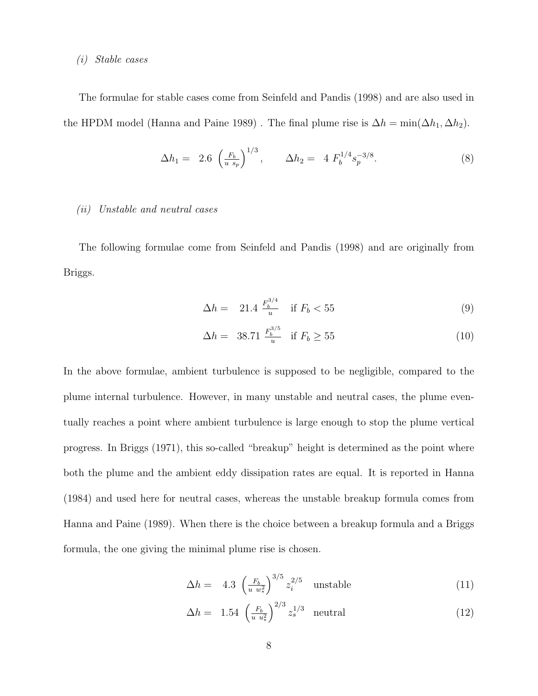#### (i) Stable cases

The formulae for stable cases come from Seinfeld and Pandis (1998) and are also used in the HPDM model (Hanna and Paine 1989). The final plume rise is  $\Delta h = \min(\Delta h_1, \Delta h_2)$ .

$$
\Delta h_1 = 2.6 \left(\frac{F_b}{u s_p}\right)^{1/3}, \qquad \Delta h_2 = 4 F_b^{1/4} s_p^{-3/8}.
$$
 (8)

#### (ii) Unstable and neutral cases

The following formulae come from Seinfeld and Pandis (1998) and are originally from Briggs.

$$
\Delta h = 21.4 \frac{F_b^{3/4}}{u} \quad \text{if } F_b < 55 \tag{9}
$$

$$
\Delta h = 38.71 \frac{F_b^{3/5}}{u} \quad \text{if } F_b \ge 55 \tag{10}
$$

In the above formulae, ambient turbulence is supposed to be negligible, compared to the plume internal turbulence. However, in many unstable and neutral cases, the plume eventually reaches a point where ambient turbulence is large enough to stop the plume vertical progress. In Briggs (1971), this so-called "breakup" height is determined as the point where both the plume and the ambient eddy dissipation rates are equal. It is reported in Hanna (1984) and used here for neutral cases, whereas the unstable breakup formula comes from Hanna and Paine (1989). When there is the choice between a breakup formula and a Briggs formula, the one giving the minimal plume rise is chosen.

$$
\Delta h = 4.3 \left(\frac{F_b}{u w_*^2}\right)^{3/5} z_i^{2/5} \quad \text{unstable} \tag{11}
$$

$$
\Delta h = 1.54 \left(\frac{F_b}{u u_*^2}\right)^{2/3} z_s^{1/3} \quad \text{neutral} \tag{12}
$$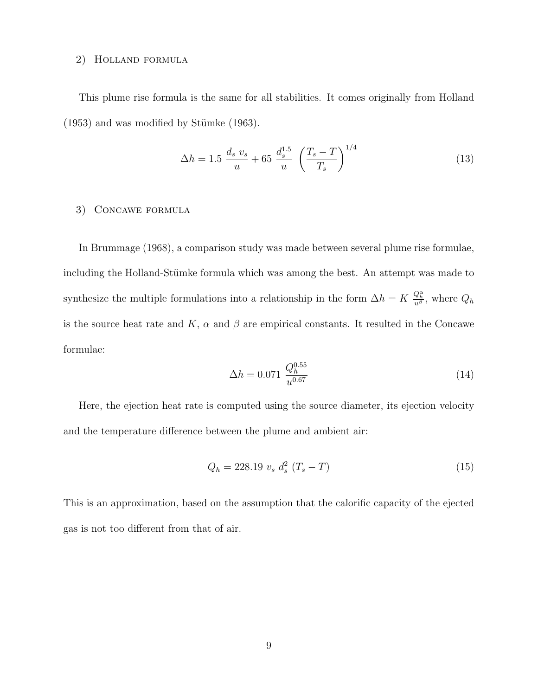#### 2) Holland formula

This plume rise formula is the same for all stabilities. It comes originally from Holland  $(1953)$  and was modified by Stümke  $(1963)$ .

$$
\Delta h = 1.5 \frac{d_s v_s}{u} + 65 \frac{d_s^{1.5}}{u} \left(\frac{T_s - T}{T_s}\right)^{1/4} \tag{13}
$$

#### 3) Concawe formula

In Brummage (1968), a comparison study was made between several plume rise formulae, including the Holland-Stümke formula which was among the best. An attempt was made to synthesize the multiple formulations into a relationship in the form  $\Delta h = K \frac{Q_h^{\alpha}}{u^{\beta}}$ , where  $Q_h$ is the source heat rate and K,  $\alpha$  and  $\beta$  are empirical constants. It resulted in the Concawe formulae:

$$
\Delta h = 0.071 \frac{Q_h^{0.55}}{u^{0.67}}
$$
\n(14)

Here, the ejection heat rate is computed using the source diameter, its ejection velocity and the temperature difference between the plume and ambient air:

$$
Q_h = 228.19 \ v_s \ d_s^2 \ (T_s - T) \tag{15}
$$

This is an approximation, based on the assumption that the calorific capacity of the ejected gas is not too different from that of air.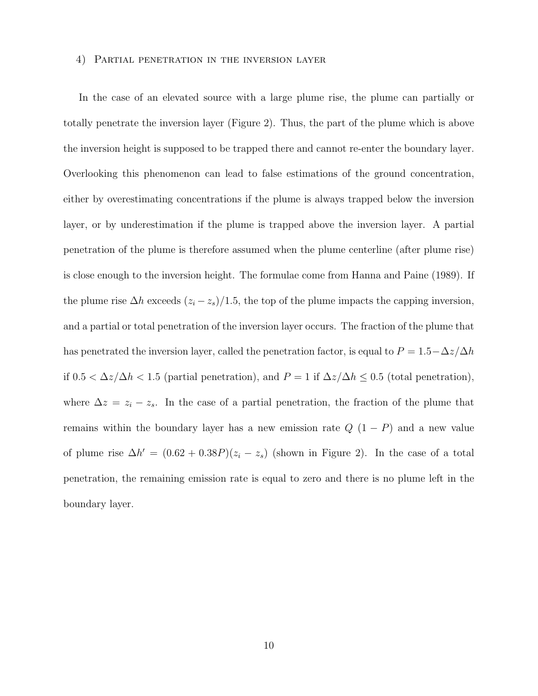#### 4) Partial penetration in the inversion layer

In the case of an elevated source with a large plume rise, the plume can partially or totally penetrate the inversion layer (Figure 2). Thus, the part of the plume which is above the inversion height is supposed to be trapped there and cannot re-enter the boundary layer. Overlooking this phenomenon can lead to false estimations of the ground concentration, either by overestimating concentrations if the plume is always trapped below the inversion layer, or by underestimation if the plume is trapped above the inversion layer. A partial penetration of the plume is therefore assumed when the plume centerline (after plume rise) is close enough to the inversion height. The formulae come from Hanna and Paine (1989). If the plume rise  $\Delta h$  exceeds  $(z_i - z_s)/1.5$ , the top of the plume impacts the capping inversion, and a partial or total penetration of the inversion layer occurs. The fraction of the plume that has penetrated the inversion layer, called the penetration factor, is equal to  $P = 1.5 - \Delta z/\Delta h$ if  $0.5 < \Delta z/\Delta h < 1.5$  (partial penetration), and  $P = 1$  if  $\Delta z/\Delta h \leq 0.5$  (total penetration), where  $\Delta z = z_i - z_s$ . In the case of a partial penetration, the fraction of the plume that remains within the boundary layer has a new emission rate  $Q(1 - P)$  and a new value of plume rise  $\Delta h' = (0.62 + 0.38P)(z_i - z_s)$  (shown in Figure 2). In the case of a total penetration, the remaining emission rate is equal to zero and there is no plume left in the boundary layer.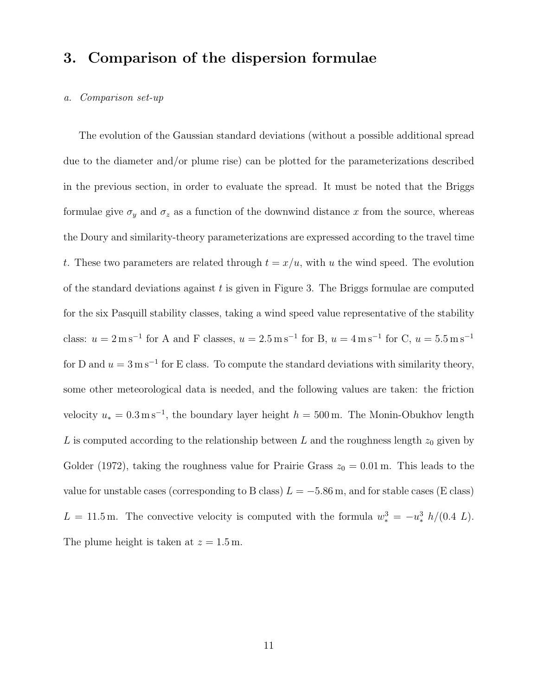## 3. Comparison of the dispersion formulae

#### a. Comparison set-up

The evolution of the Gaussian standard deviations (without a possible additional spread due to the diameter and/or plume rise) can be plotted for the parameterizations described in the previous section, in order to evaluate the spread. It must be noted that the Briggs formulae give  $\sigma_y$  and  $\sigma_z$  as a function of the downwind distance x from the source, whereas the Doury and similarity-theory parameterizations are expressed according to the travel time t. These two parameters are related through  $t = x/u$ , with u the wind speed. The evolution of the standard deviations against  $t$  is given in Figure 3. The Briggs formulae are computed for the six Pasquill stability classes, taking a wind speed value representative of the stability class:  $u = 2 \text{ m s}^{-1}$  for A and F classes,  $u = 2.5 \text{ m s}^{-1}$  for B,  $u = 4 \text{ m s}^{-1}$  for C,  $u = 5.5 \text{ m s}^{-1}$ for D and  $u = 3 \,\mathrm{m\,s^{-1}}$  for E class. To compute the standard deviations with similarity theory, some other meteorological data is needed, and the following values are taken: the friction velocity  $u_* = 0.3 \,\mathrm{m\,s^{-1}}$ , the boundary layer height  $h = 500 \,\mathrm{m}$ . The Monin-Obukhov length L is computed according to the relationship between L and the roughness length  $z_0$  given by Golder (1972), taking the roughness value for Prairie Grass  $z_0 = 0.01$  m. This leads to the value for unstable cases (corresponding to B class)  $L = -5.86$  m, and for stable cases (E class)  $L = 11.5$  m. The convective velocity is computed with the formula  $w_*^3 = -u_*^3 h/(0.4 L)$ . The plume height is taken at  $z = 1.5$  m.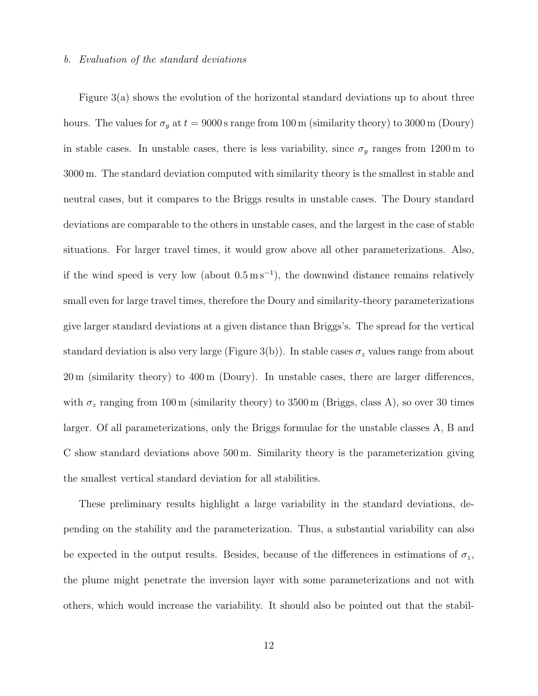#### b. Evaluation of the standard deviations

Figure 3(a) shows the evolution of the horizontal standard deviations up to about three hours. The values for  $\sigma_y$  at  $t = 9000$  s range from 100 m (similarity theory) to 3000 m (Doury) in stable cases. In unstable cases, there is less variability, since  $\sigma_y$  ranges from 1200 m to 3000 m. The standard deviation computed with similarity theory is the smallest in stable and neutral cases, but it compares to the Briggs results in unstable cases. The Doury standard deviations are comparable to the others in unstable cases, and the largest in the case of stable situations. For larger travel times, it would grow above all other parameterizations. Also, if the wind speed is very low (about  $0.5 \text{ m s}^{-1}$ ), the downwind distance remains relatively small even for large travel times, therefore the Doury and similarity-theory parameterizations give larger standard deviations at a given distance than Briggs's. The spread for the vertical standard deviation is also very large (Figure 3(b)). In stable cases  $\sigma_z$  values range from about 20 m (similarity theory) to 400 m (Doury). In unstable cases, there are larger differences, with  $\sigma_z$  ranging from 100 m (similarity theory) to 3500 m (Briggs, class A), so over 30 times larger. Of all parameterizations, only the Briggs formulae for the unstable classes A, B and C show standard deviations above 500 m. Similarity theory is the parameterization giving the smallest vertical standard deviation for all stabilities.

These preliminary results highlight a large variability in the standard deviations, depending on the stability and the parameterization. Thus, a substantial variability can also be expected in the output results. Besides, because of the differences in estimations of  $\sigma_z$ , the plume might penetrate the inversion layer with some parameterizations and not with others, which would increase the variability. It should also be pointed out that the stabil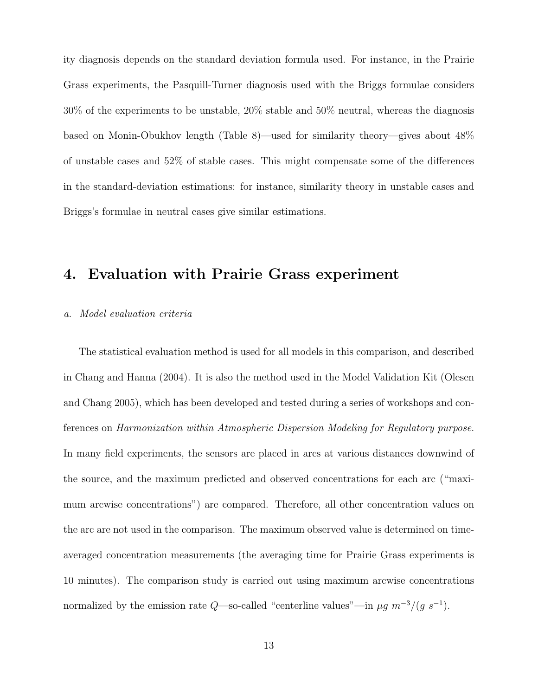ity diagnosis depends on the standard deviation formula used. For instance, in the Prairie Grass experiments, the Pasquill-Turner diagnosis used with the Briggs formulae considers 30% of the experiments to be unstable, 20% stable and 50% neutral, whereas the diagnosis based on Monin-Obukhov length (Table 8)—used for similarity theory—gives about 48% of unstable cases and 52% of stable cases. This might compensate some of the differences in the standard-deviation estimations: for instance, similarity theory in unstable cases and Briggs's formulae in neutral cases give similar estimations.

## 4. Evaluation with Prairie Grass experiment

#### a. Model evaluation criteria

The statistical evaluation method is used for all models in this comparison, and described in Chang and Hanna (2004). It is also the method used in the Model Validation Kit (Olesen and Chang 2005), which has been developed and tested during a series of workshops and conferences on Harmonization within Atmospheric Dispersion Modeling for Regulatory purpose. In many field experiments, the sensors are placed in arcs at various distances downwind of the source, and the maximum predicted and observed concentrations for each arc ("maximum arcwise concentrations") are compared. Therefore, all other concentration values on the arc are not used in the comparison. The maximum observed value is determined on timeaveraged concentration measurements (the averaging time for Prairie Grass experiments is 10 minutes). The comparison study is carried out using maximum arcwise concentrations normalized by the emission rate  $Q$ —so-called "centerline values"—in  $\mu g$   $m^{-3}/(g \ s^{-1})$ .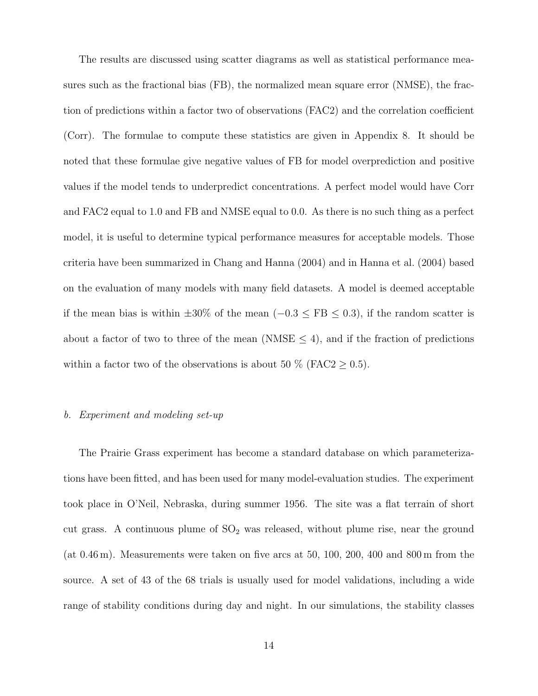The results are discussed using scatter diagrams as well as statistical performance measures such as the fractional bias (FB), the normalized mean square error (NMSE), the fraction of predictions within a factor two of observations (FAC2) and the correlation coefficient (Corr). The formulae to compute these statistics are given in Appendix 8. It should be noted that these formulae give negative values of FB for model overprediction and positive values if the model tends to underpredict concentrations. A perfect model would have Corr and FAC2 equal to 1.0 and FB and NMSE equal to 0.0. As there is no such thing as a perfect model, it is useful to determine typical performance measures for acceptable models. Those criteria have been summarized in Chang and Hanna (2004) and in Hanna et al. (2004) based on the evaluation of many models with many field datasets. A model is deemed acceptable if the mean bias is within  $\pm 30\%$  of the mean ( $-0.3 \leq FB \leq 0.3$ ), if the random scatter is about a factor of two to three of the mean (NMSE  $\leq$  4), and if the fraction of predictions within a factor two of the observations is about 50  $\%$  (FAC2  $\geq$  0.5).

#### b. Experiment and modeling set-up

The Prairie Grass experiment has become a standard database on which parameterizations have been fitted, and has been used for many model-evaluation studies. The experiment took place in O'Neil, Nebraska, during summer 1956. The site was a flat terrain of short cut grass. A continuous plume of  $SO<sub>2</sub>$  was released, without plume rise, near the ground (at 0.46 m). Measurements were taken on five arcs at 50, 100, 200, 400 and 800 m from the source. A set of 43 of the 68 trials is usually used for model validations, including a wide range of stability conditions during day and night. In our simulations, the stability classes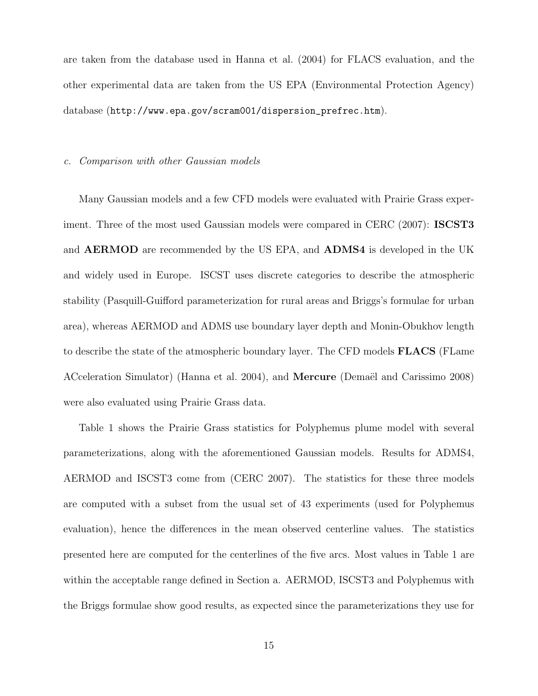are taken from the database used in Hanna et al. (2004) for FLACS evaluation, and the other experimental data are taken from the US EPA (Environmental Protection Agency) database (http://www.epa.gov/scram001/dispersion\_prefrec.htm).

#### c. Comparison with other Gaussian models

Many Gaussian models and a few CFD models were evaluated with Prairie Grass experiment. Three of the most used Gaussian models were compared in CERC (2007): **ISCST3** and AERMOD are recommended by the US EPA, and ADMS4 is developed in the UK and widely used in Europe. ISCST uses discrete categories to describe the atmospheric stability (Pasquill-Guifford parameterization for rural areas and Briggs's formulae for urban area), whereas AERMOD and ADMS use boundary layer depth and Monin-Obukhov length to describe the state of the atmospheric boundary layer. The CFD models FLACS (FLame ACceleration Simulator) (Hanna et al. 2004), and **Mercure** (Demaël and Carissimo 2008) were also evaluated using Prairie Grass data.

Table 1 shows the Prairie Grass statistics for Polyphemus plume model with several parameterizations, along with the aforementioned Gaussian models. Results for ADMS4, AERMOD and ISCST3 come from (CERC 2007). The statistics for these three models are computed with a subset from the usual set of 43 experiments (used for Polyphemus evaluation), hence the differences in the mean observed centerline values. The statistics presented here are computed for the centerlines of the five arcs. Most values in Table 1 are within the acceptable range defined in Section a. AERMOD, ISCST3 and Polyphemus with the Briggs formulae show good results, as expected since the parameterizations they use for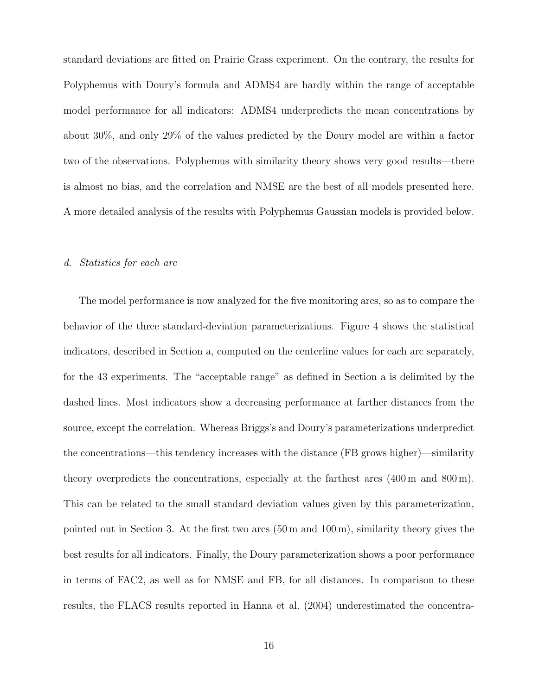standard deviations are fitted on Prairie Grass experiment. On the contrary, the results for Polyphemus with Doury's formula and ADMS4 are hardly within the range of acceptable model performance for all indicators: ADMS4 underpredicts the mean concentrations by about 30%, and only 29% of the values predicted by the Doury model are within a factor two of the observations. Polyphemus with similarity theory shows very good results—there is almost no bias, and the correlation and NMSE are the best of all models presented here. A more detailed analysis of the results with Polyphemus Gaussian models is provided below.

#### d. Statistics for each arc

The model performance is now analyzed for the five monitoring arcs, so as to compare the behavior of the three standard-deviation parameterizations. Figure 4 shows the statistical indicators, described in Section a, computed on the centerline values for each arc separately, for the 43 experiments. The "acceptable range" as defined in Section a is delimited by the dashed lines. Most indicators show a decreasing performance at farther distances from the source, except the correlation. Whereas Briggs's and Doury's parameterizations underpredict the concentrations—this tendency increases with the distance (FB grows higher)—similarity theory overpredicts the concentrations, especially at the farthest arcs (400 m and 800 m). This can be related to the small standard deviation values given by this parameterization, pointed out in Section 3. At the first two arcs (50 m and 100 m), similarity theory gives the best results for all indicators. Finally, the Doury parameterization shows a poor performance in terms of FAC2, as well as for NMSE and FB, for all distances. In comparison to these results, the FLACS results reported in Hanna et al. (2004) underestimated the concentra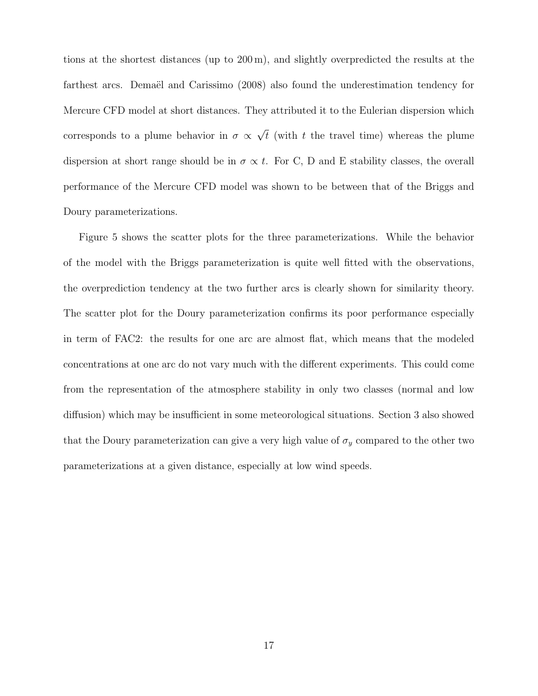tions at the shortest distances (up to 200 m), and slightly overpredicted the results at the farthest arcs. Demaël and Carissimo (2008) also found the underestimation tendency for Mercure CFD model at short distances. They attributed it to the Eulerian dispersion which corresponds to a plume behavior in  $\sigma \propto \sqrt{t}$  (with t the travel time) whereas the plume dispersion at short range should be in  $\sigma \propto t$ . For C, D and E stability classes, the overall performance of the Mercure CFD model was shown to be between that of the Briggs and Doury parameterizations.

Figure 5 shows the scatter plots for the three parameterizations. While the behavior of the model with the Briggs parameterization is quite well fitted with the observations, the overprediction tendency at the two further arcs is clearly shown for similarity theory. The scatter plot for the Doury parameterization confirms its poor performance especially in term of FAC2: the results for one arc are almost flat, which means that the modeled concentrations at one arc do not vary much with the different experiments. This could come from the representation of the atmosphere stability in only two classes (normal and low diffusion) which may be insufficient in some meteorological situations. Section 3 also showed that the Doury parameterization can give a very high value of  $\sigma_y$  compared to the other two parameterizations at a given distance, especially at low wind speeds.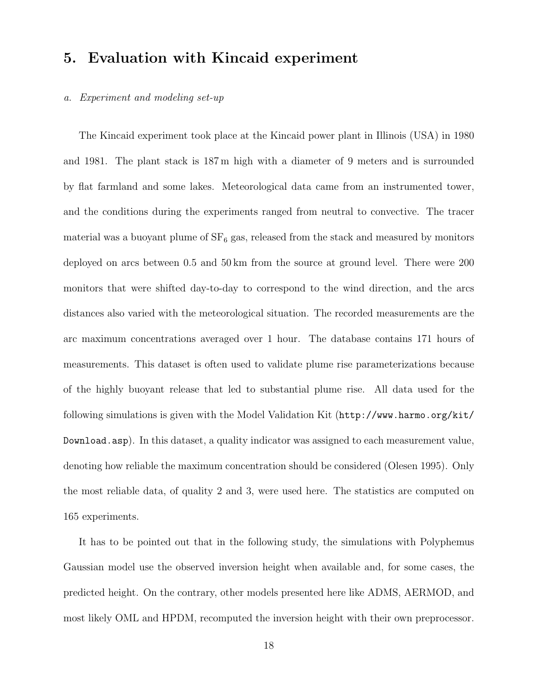## 5. Evaluation with Kincaid experiment

#### a. Experiment and modeling set-up

The Kincaid experiment took place at the Kincaid power plant in Illinois (USA) in 1980 and 1981. The plant stack is 187 m high with a diameter of 9 meters and is surrounded by flat farmland and some lakes. Meteorological data came from an instrumented tower, and the conditions during the experiments ranged from neutral to convective. The tracer material was a buoyant plume of  $SF_6$  gas, released from the stack and measured by monitors deployed on arcs between 0.5 and 50 km from the source at ground level. There were 200 monitors that were shifted day-to-day to correspond to the wind direction, and the arcs distances also varied with the meteorological situation. The recorded measurements are the arc maximum concentrations averaged over 1 hour. The database contains 171 hours of measurements. This dataset is often used to validate plume rise parameterizations because of the highly buoyant release that led to substantial plume rise. All data used for the following simulations is given with the Model Validation Kit (http://www.harmo.org/kit/ Download.asp). In this dataset, a quality indicator was assigned to each measurement value, denoting how reliable the maximum concentration should be considered (Olesen 1995). Only the most reliable data, of quality 2 and 3, were used here. The statistics are computed on 165 experiments.

It has to be pointed out that in the following study, the simulations with Polyphemus Gaussian model use the observed inversion height when available and, for some cases, the predicted height. On the contrary, other models presented here like ADMS, AERMOD, and most likely OML and HPDM, recomputed the inversion height with their own preprocessor.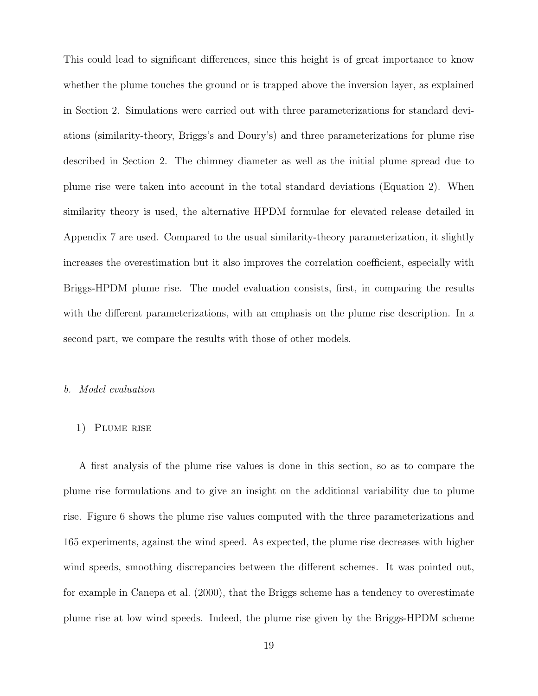This could lead to significant differences, since this height is of great importance to know whether the plume touches the ground or is trapped above the inversion layer, as explained in Section 2. Simulations were carried out with three parameterizations for standard deviations (similarity-theory, Briggs's and Doury's) and three parameterizations for plume rise described in Section 2. The chimney diameter as well as the initial plume spread due to plume rise were taken into account in the total standard deviations (Equation 2). When similarity theory is used, the alternative HPDM formulae for elevated release detailed in Appendix 7 are used. Compared to the usual similarity-theory parameterization, it slightly increases the overestimation but it also improves the correlation coefficient, especially with Briggs-HPDM plume rise. The model evaluation consists, first, in comparing the results with the different parameterizations, with an emphasis on the plume rise description. In a second part, we compare the results with those of other models.

#### b. Model evaluation

#### 1) Plume rise

A first analysis of the plume rise values is done in this section, so as to compare the plume rise formulations and to give an insight on the additional variability due to plume rise. Figure 6 shows the plume rise values computed with the three parameterizations and 165 experiments, against the wind speed. As expected, the plume rise decreases with higher wind speeds, smoothing discrepancies between the different schemes. It was pointed out, for example in Canepa et al. (2000), that the Briggs scheme has a tendency to overestimate plume rise at low wind speeds. Indeed, the plume rise given by the Briggs-HPDM scheme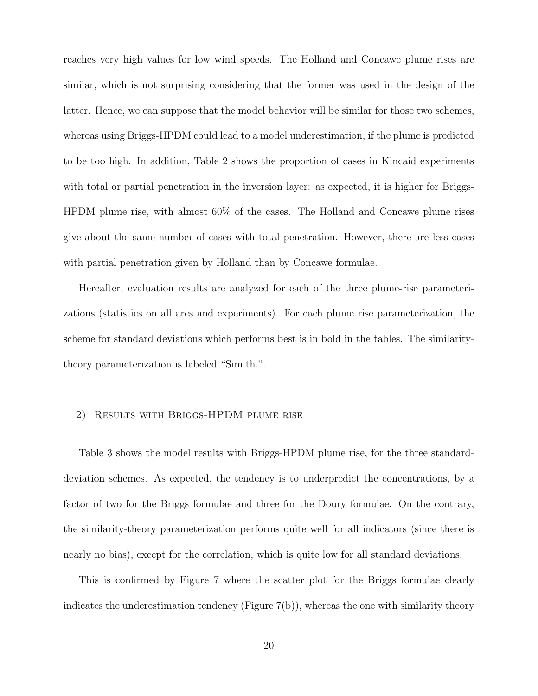reaches very high values for low wind speeds. The Holland and Concawe plume rises are similar, which is not surprising considering that the former was used in the design of the latter. Hence, we can suppose that the model behavior will be similar for those two schemes, whereas using Briggs-HPDM could lead to a model underestimation, if the plume is predicted to be too high. In addition, Table 2 shows the proportion of cases in Kincaid experiments with total or partial penetration in the inversion layer: as expected, it is higher for Briggs-HPDM plume rise, with almost 60% of the cases. The Holland and Concawe plume rises give about the same number of cases with total penetration. However, there are less cases with partial penetration given by Holland than by Concawe formulae.

Hereafter, evaluation results are analyzed for each of the three plume-rise parameterizations (statistics on all arcs and experiments). For each plume rise parameterization, the scheme for standard deviations which performs best is in bold in the tables. The similaritytheory parameterization is labeled "Sim.th.".

#### 2) Results with Briggs-HPDM plume rise

Table 3 shows the model results with Briggs-HPDM plume rise, for the three standarddeviation schemes. As expected, the tendency is to underpredict the concentrations, by a factor of two for the Briggs formulae and three for the Doury formulae. On the contrary, the similarity-theory parameterization performs quite well for all indicators (since there is nearly no bias), except for the correlation, which is quite low for all standard deviations.

This is confirmed by Figure 7 where the scatter plot for the Briggs formulae clearly indicates the underestimation tendency (Figure 7(b)), whereas the one with similarity theory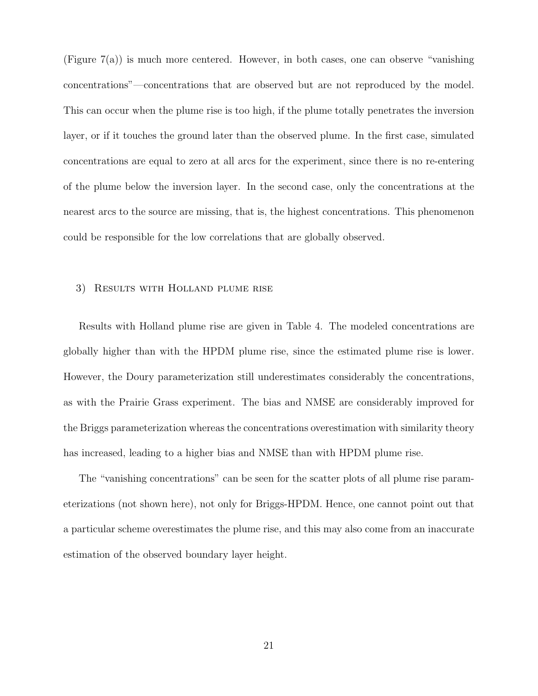(Figure 7(a)) is much more centered. However, in both cases, one can observe "vanishing concentrations"—concentrations that are observed but are not reproduced by the model. This can occur when the plume rise is too high, if the plume totally penetrates the inversion layer, or if it touches the ground later than the observed plume. In the first case, simulated concentrations are equal to zero at all arcs for the experiment, since there is no re-entering of the plume below the inversion layer. In the second case, only the concentrations at the nearest arcs to the source are missing, that is, the highest concentrations. This phenomenon could be responsible for the low correlations that are globally observed.

#### 3) Results with Holland plume rise

Results with Holland plume rise are given in Table 4. The modeled concentrations are globally higher than with the HPDM plume rise, since the estimated plume rise is lower. However, the Doury parameterization still underestimates considerably the concentrations, as with the Prairie Grass experiment. The bias and NMSE are considerably improved for the Briggs parameterization whereas the concentrations overestimation with similarity theory has increased, leading to a higher bias and NMSE than with HPDM plume rise.

The "vanishing concentrations" can be seen for the scatter plots of all plume rise parameterizations (not shown here), not only for Briggs-HPDM. Hence, one cannot point out that a particular scheme overestimates the plume rise, and this may also come from an inaccurate estimation of the observed boundary layer height.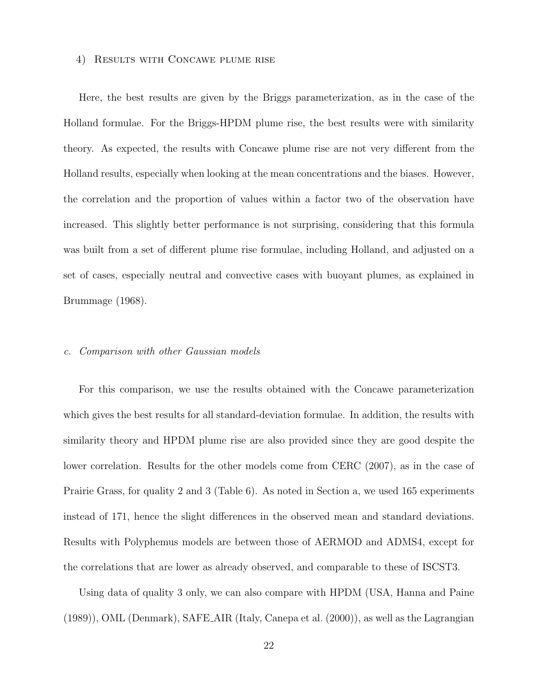#### 4) Results with Concawe plume rise

Here, the best results are given by the Briggs parameterization, as in the case of the Holland formulae. For the Briggs-HPDM plume rise, the best results were with similarity theory. As expected, the results with Concawe plume rise are not very different from the Holland results, especially when looking at the mean concentrations and the biases. However, the correlation and the proportion of values within a factor two of the observation have increased. This slightly better performance is not surprising, considering that this formula was built from a set of different plume rise formulae, including Holland, and adjusted on a set of cases, especially neutral and convective cases with buoyant plumes, as explained in Brummage (1968).

#### c. Comparison with other Gaussian models

For this comparison, we use the results obtained with the Concawe parameterization which gives the best results for all standard-deviation formulae. In addition, the results with similarity theory and HPDM plume rise are also provided since they are good despite the lower correlation. Results for the other models come from CERC (2007), as in the case of Prairie Grass, for quality 2 and 3 (Table 6). As noted in Section a, we used 165 experiments instead of 171, hence the slight differences in the observed mean and standard deviations. Results with Polyphemus models are between those of AERMOD and ADMS4, except for the correlations that are lower as already observed, and comparable to these of ISCST3.

Using data of quality 3 only, we can also compare with HPDM (USA, Hanna and Paine (1989)), OML (Denmark), SAFE AIR (Italy, Canepa et al. (2000)), as well as the Lagrangian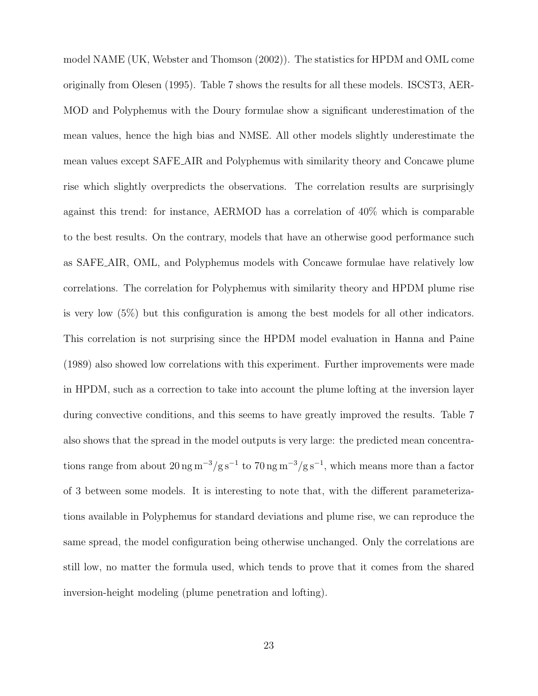model NAME (UK, Webster and Thomson (2002)). The statistics for HPDM and OML come originally from Olesen (1995). Table 7 shows the results for all these models. ISCST3, AER-MOD and Polyphemus with the Doury formulae show a significant underestimation of the mean values, hence the high bias and NMSE. All other models slightly underestimate the mean values except SAFE AIR and Polyphemus with similarity theory and Concawe plume rise which slightly overpredicts the observations. The correlation results are surprisingly against this trend: for instance, AERMOD has a correlation of 40% which is comparable to the best results. On the contrary, models that have an otherwise good performance such as SAFE AIR, OML, and Polyphemus models with Concawe formulae have relatively low correlations. The correlation for Polyphemus with similarity theory and HPDM plume rise is very low (5%) but this configuration is among the best models for all other indicators. This correlation is not surprising since the HPDM model evaluation in Hanna and Paine (1989) also showed low correlations with this experiment. Further improvements were made in HPDM, such as a correction to take into account the plume lofting at the inversion layer during convective conditions, and this seems to have greatly improved the results. Table 7 also shows that the spread in the model outputs is very large: the predicted mean concentrations range from about  $20 \text{ ng m}^{-3}/\text{g s}^{-1}$  to  $70 \text{ ng m}^{-3}/\text{g s}^{-1}$ , which means more than a factor of 3 between some models. It is interesting to note that, with the different parameterizations available in Polyphemus for standard deviations and plume rise, we can reproduce the same spread, the model configuration being otherwise unchanged. Only the correlations are still low, no matter the formula used, which tends to prove that it comes from the shared inversion-height modeling (plume penetration and lofting).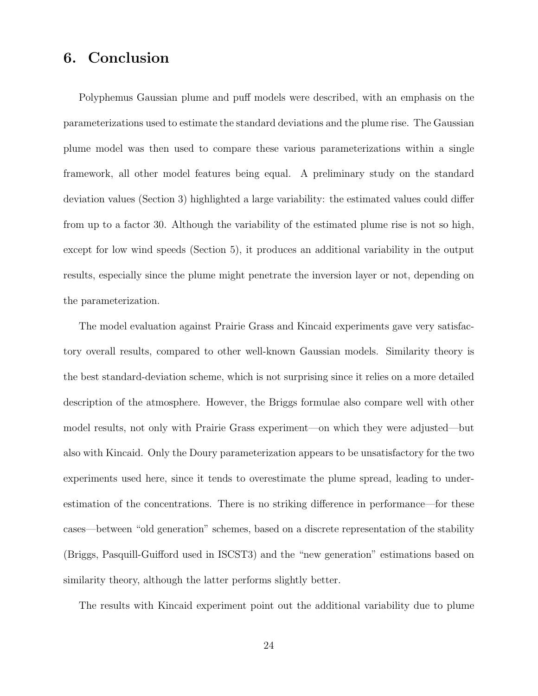## 6. Conclusion

Polyphemus Gaussian plume and puff models were described, with an emphasis on the parameterizations used to estimate the standard deviations and the plume rise. The Gaussian plume model was then used to compare these various parameterizations within a single framework, all other model features being equal. A preliminary study on the standard deviation values (Section 3) highlighted a large variability: the estimated values could differ from up to a factor 30. Although the variability of the estimated plume rise is not so high, except for low wind speeds (Section 5), it produces an additional variability in the output results, especially since the plume might penetrate the inversion layer or not, depending on the parameterization.

The model evaluation against Prairie Grass and Kincaid experiments gave very satisfactory overall results, compared to other well-known Gaussian models. Similarity theory is the best standard-deviation scheme, which is not surprising since it relies on a more detailed description of the atmosphere. However, the Briggs formulae also compare well with other model results, not only with Prairie Grass experiment—on which they were adjusted—but also with Kincaid. Only the Doury parameterization appears to be unsatisfactory for the two experiments used here, since it tends to overestimate the plume spread, leading to underestimation of the concentrations. There is no striking difference in performance—for these cases—between "old generation" schemes, based on a discrete representation of the stability (Briggs, Pasquill-Guifford used in ISCST3) and the "new generation" estimations based on similarity theory, although the latter performs slightly better.

The results with Kincaid experiment point out the additional variability due to plume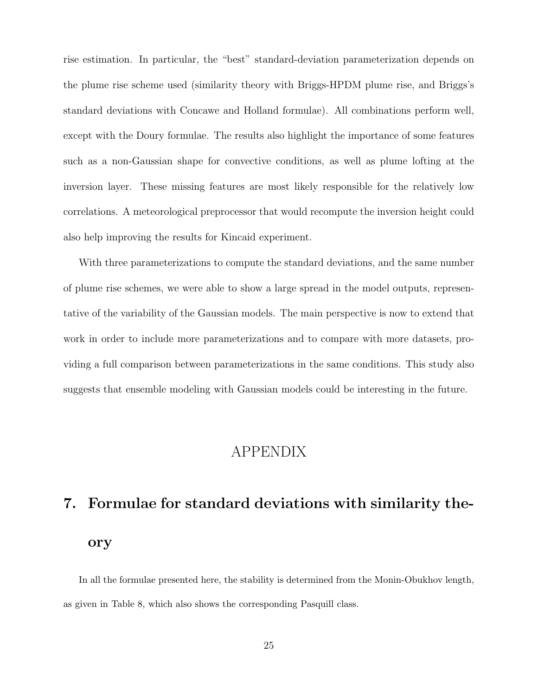rise estimation. In particular, the "best" standard-deviation parameterization depends on the plume rise scheme used (similarity theory with Briggs-HPDM plume rise, and Briggs's standard deviations with Concawe and Holland formulae). All combinations perform well, except with the Doury formulae. The results also highlight the importance of some features such as a non-Gaussian shape for convective conditions, as well as plume lofting at the inversion layer. These missing features are most likely responsible for the relatively low correlations. A meteorological preprocessor that would recompute the inversion height could also help improving the results for Kincaid experiment.

With three parameterizations to compute the standard deviations, and the same number of plume rise schemes, we were able to show a large spread in the model outputs, representative of the variability of the Gaussian models. The main perspective is now to extend that work in order to include more parameterizations and to compare with more datasets, providing a full comparison between parameterizations in the same conditions. This study also suggests that ensemble modeling with Gaussian models could be interesting in the future.

## APPENDIX

## 7. Formulae for standard deviations with similarity theory

In all the formulae presented here, the stability is determined from the Monin-Obukhov length, as given in Table 8, which also shows the corresponding Pasquill class.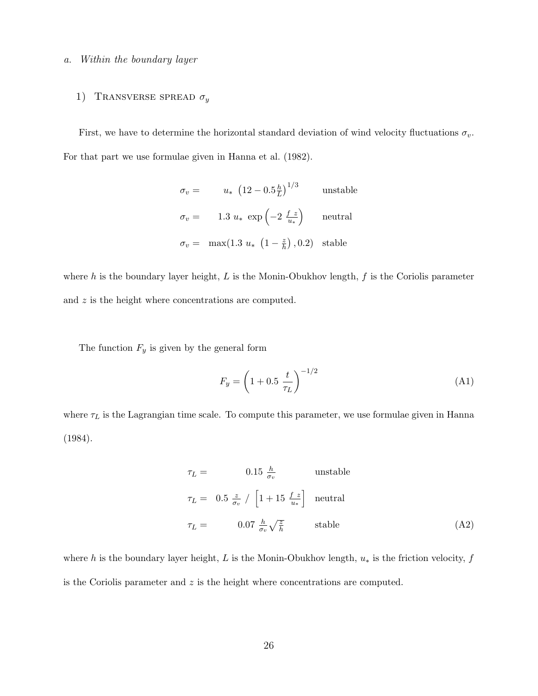#### a. Within the boundary layer

#### 1) TRANSVERSE SPREAD  $\sigma_y$

First, we have to determine the horizontal standard deviation of wind velocity fluctuations  $\sigma_v$ . For that part we use formulae given in Hanna et al. (1982).

$$
\sigma_v = u_* \left(12 - 0.5 \frac{h}{L}\right)^{1/3} \quad \text{unstable}
$$
\n
$$
\sigma_v = 1.3 u_* \exp\left(-2 \frac{f}{u_*}\right) \quad \text{neutral}
$$
\n
$$
\sigma_v = \max(1.3 u_* \left(1 - \frac{z}{h}\right), 0.2) \quad \text{stable}
$$

where h is the boundary layer height,  $L$  is the Monin-Obukhov length,  $f$  is the Coriolis parameter and z is the height where concentrations are computed.

The function  $F_y$  is given by the general form

$$
F_y = \left(1 + 0.5 \frac{t}{\tau_L}\right)^{-1/2} \tag{A1}
$$

where  $\tau_L$  is the Lagrangian time scale. To compute this parameter, we use formulae given in Hanna (1984).

$$
\tau_L = 0.15 \frac{h}{\sigma_v} \quad \text{unstable}
$$
\n
$$
\tau_L = 0.5 \frac{z}{\sigma_v} / \left[1 + 15 \frac{f}{u_*}\right] \quad \text{neutral}
$$
\n
$$
\tau_L = 0.07 \frac{h}{\sigma_v} \sqrt{\frac{z}{h}} \quad \text{stable}
$$
\n(A2)

where h is the boundary layer height, L is the Monin-Obukhov length,  $u_*$  is the friction velocity, f is the Coriolis parameter and  $z$  is the height where concentrations are computed.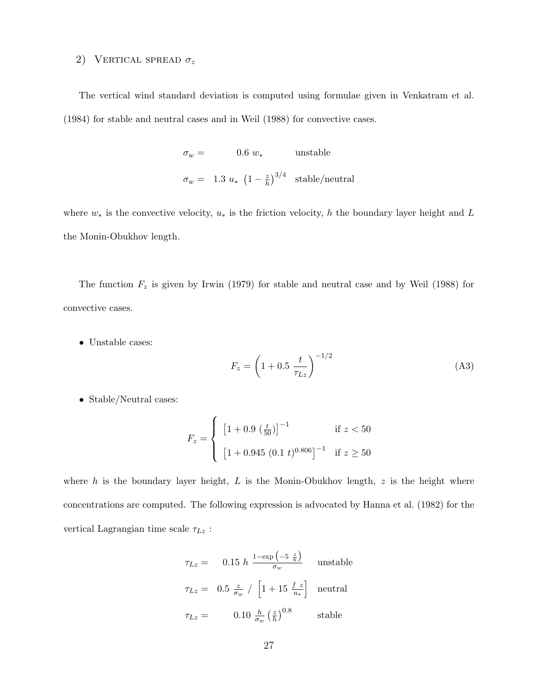#### 2) VERTICAL SPREAD  $\sigma_z$

The vertical wind standard deviation is computed using formulae given in Venkatram et al. (1984) for stable and neutral cases and in Weil (1988) for convective cases.

> $\sigma_w =$  0.6  $w_*$  unstable  $\sigma_w = 1.3 u_* (1 - \frac{z}{h})$  $\left(\frac{z}{h}\right)^{3/4}$  stable/neutral

where  $w_*$  is the convective velocity,  $u_*$  is the friction velocity, h the boundary layer height and L the Monin-Obukhov length.

The function  $F_z$  is given by Irwin (1979) for stable and neutral case and by Weil (1988) for convective cases.

• Unstable cases:

$$
F_z = \left(1 + 0.5 \frac{t}{\tau_{Lz}}\right)^{-1/2} \tag{A3}
$$

• Stable/Neutral cases:

$$
F_z = \begin{cases} \left[1 + 0.9 \left(\frac{t}{50}\right)\right]^{-1} & \text{if } z < 50\\ \left[1 + 0.945 \left(0.1 \ t\right)^{0.806}\right]^{-1} & \text{if } z \ge 50 \end{cases}
$$

where  $h$  is the boundary layer height,  $L$  is the Monin-Obukhov length,  $z$  is the height where concentrations are computed. The following expression is advocated by Hanna et al. (1982) for the vertical Lagrangian time scale  $\tau_{Lz}$ :

$$
\tau_{Lz} = 0.15 \ h \frac{1 - \exp\left(-5 \ \frac{z}{h}\right)}{\sigma_w} \quad \text{unstable}
$$
\n
$$
\tau_{Lz} = 0.5 \ \frac{z}{\sigma_w} / \left[1 + 15 \ \frac{f}{u_*}\right] \quad \text{neutral}
$$
\n
$$
\tau_{Lz} = 0.10 \ \frac{h}{\sigma_w} \left(\frac{z}{h}\right)^{0.8} \quad \text{stable}
$$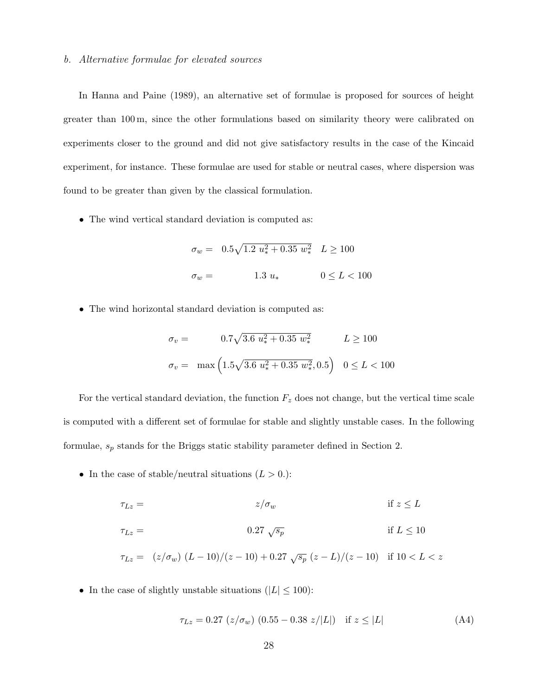#### b. Alternative formulae for elevated sources

In Hanna and Paine (1989), an alternative set of formulae is proposed for sources of height greater than 100 m, since the other formulations based on similarity theory were calibrated on experiments closer to the ground and did not give satisfactory results in the case of the Kincaid experiment, for instance. These formulae are used for stable or neutral cases, where dispersion was found to be greater than given by the classical formulation.

• The wind vertical standard deviation is computed as:

$$
\sigma_w = 0.5\sqrt{1.2 \ u_*^2 + 0.35 \ w_*^2} \quad L \ge 100
$$
  

$$
\sigma_w = 1.3 \ u_* \qquad 0 \le L < 100
$$

• The wind horizontal standard deviation is computed as:

$$
\sigma_v = 0.7\sqrt{3.6 \ u_*^2 + 0.35 \ w_*^2} \qquad L \ge 100
$$
  

$$
\sigma_v = \max\left(1.5\sqrt{3.6 \ u_*^2 + 0.35 \ w_*^2}, 0.5\right) \quad 0 \le L < 100
$$

For the vertical standard deviation, the function  $F_z$  does not change, but the vertical time scale is computed with a different set of formulae for stable and slightly unstable cases. In the following formulae,  $s_p$  stands for the Briggs static stability parameter defined in Section 2.  $\,$ 

• In the case of stable/neutral situations  $(L > 0.$ ):

$$
\tau_{Lz} = z/\sigma_w \qquad \text{if } z \le L
$$
  

$$
\tau_{Lz} = 0.27 \sqrt{s_p} \qquad \text{if } L \le 10
$$

$$
\tau_{Lz} = (z/\sigma_w) (L - 10)/(z - 10) + 0.27 \sqrt{s_p} (z - L)/(z - 10) \text{ if } 10 < L < z
$$

• In the case of slightly unstable situations ( $|L| \leq 100$ ):

$$
\tau_{Lz} = 0.27 \ (z/\sigma_w) \ (0.55 - 0.38 \ z/|L|) \quad \text{if } z \le |L| \tag{A4}
$$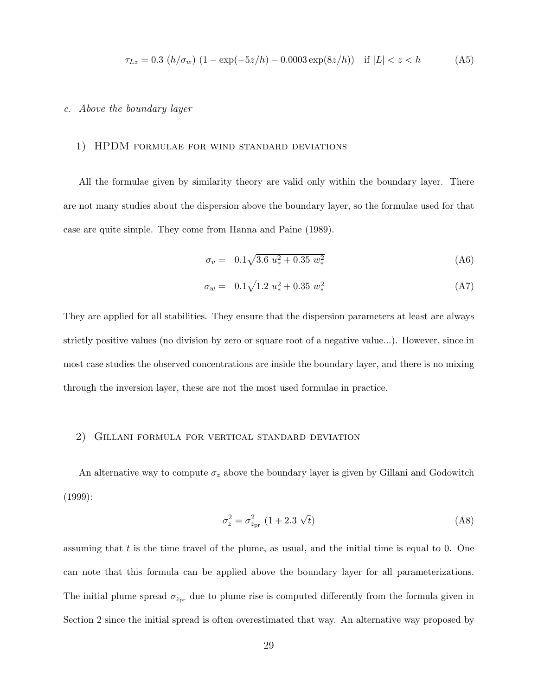$$
\tau_{Lz} = 0.3 \ (h/\sigma_w) \ (1 - \exp(-5z/h) - 0.0003 \exp(8z/h)) \quad \text{if } |L| < z < h \tag{A5}
$$

#### c. Above the boundary layer

#### 1) HPDM formulae for wind standard deviations

All the formulae given by similarity theory are valid only within the boundary layer. There are not many studies about the dispersion above the boundary layer, so the formulae used for that case are quite simple. They come from Hanna and Paine (1989).

$$
\sigma_v = 0.1\sqrt{3.6 \ u_*^2 + 0.35 \ w_*^2} \tag{A6}
$$

$$
\sigma_w = 0.1\sqrt{1.2\ u_*^2 + 0.35\ w_*^2} \tag{A7}
$$

They are applied for all stabilities. They ensure that the dispersion parameters at least are always strictly positive values (no division by zero or square root of a negative value...). However, since in most case studies the observed concentrations are inside the boundary layer, and there is no mixing through the inversion layer, these are not the most used formulae in practice.

#### 2) Gillani formula for vertical standard deviation

An alternative way to compute  $\sigma_z$  above the boundary layer is given by Gillani and Godowitch (1999):

$$
\sigma_z^2 = \sigma_{z_{\rm pr}}^2 \ (1 + 2.3 \ \sqrt{t}) \tag{A8}
$$

assuming that  $t$  is the time travel of the plume, as usual, and the initial time is equal to 0. One can note that this formula can be applied above the boundary layer for all parameterizations. The initial plume spread  $\sigma_{z_{\rm pr}}$  due to plume rise is computed differently from the formula given in Section 2 since the initial spread is often overestimated that way. An alternative way proposed by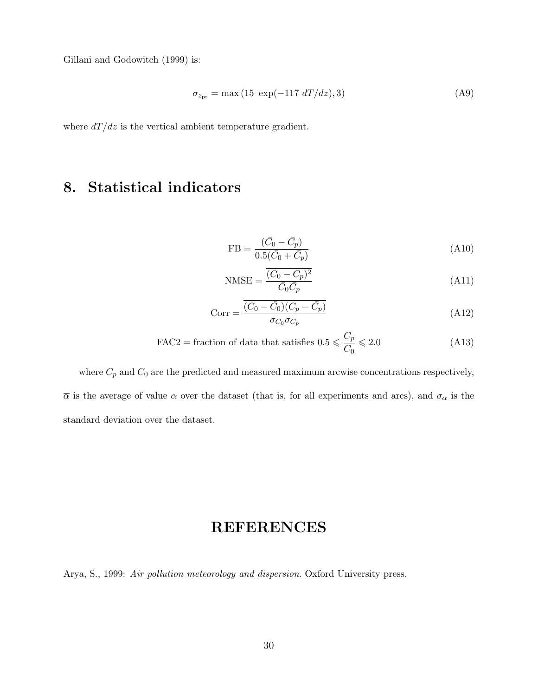Gillani and Godowitch (1999) is:

$$
\sigma_{z_{\rm pr}} = \max(15 \exp(-117 \, dT/dz), 3) \tag{A9}
$$

where  $dT/dz$  is the vertical ambient temperature gradient.

## 8. Statistical indicators

$$
FB = \frac{(\bar{C_0} - \bar{C_p})}{0.5(\bar{C_0} + \bar{C_p})}
$$
\n(A10)

$$
\text{NMSE} = \frac{\overline{(C_0 - C_p)^2}}{\overline{C_0}\overline{C_p}}\tag{A11}
$$

$$
Corr = \frac{\overline{(C_0 - \bar{C}_0)(C_p - \bar{C}_p)}}{\sigma_{C_0}\sigma_{C_p}}
$$
\n(A12)

$$
\text{FAC2} = \text{fraction of data that satisfies } 0.5 \leqslant \frac{C_p}{C_0} \leqslant 2.0 \tag{A13}
$$

where  $C_p$  and  $C_0$  are the predicted and measured maximum arcwise concentrations respectively,  $\overline{\alpha}$  is the average of value  $\alpha$  over the dataset (that is, for all experiments and arcs), and  $\sigma_{\alpha}$  is the standard deviation over the dataset.

## REFERENCES

Arya, S., 1999: Air pollution meteorology and dispersion. Oxford University press.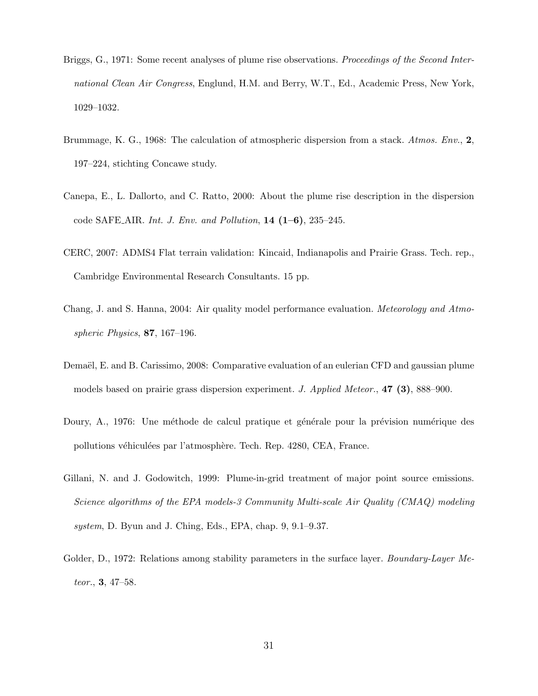- Briggs, G., 1971: Some recent analyses of plume rise observations. Proceedings of the Second International Clean Air Congress, Englund, H.M. and Berry, W.T., Ed., Academic Press, New York, 1029–1032.
- Brummage, K. G., 1968: The calculation of atmospheric dispersion from a stack. Atmos. Env., 2, 197–224, stichting Concawe study.
- Canepa, E., L. Dallorto, and C. Ratto, 2000: About the plume rise description in the dispersion code SAFE\_AIR. Int. J. Env. and Pollution,  $14$   $(1-6)$ ,  $235-245$ .
- CERC, 2007: ADMS4 Flat terrain validation: Kincaid, Indianapolis and Prairie Grass. Tech. rep., Cambridge Environmental Research Consultants. 15 pp.
- Chang, J. and S. Hanna, 2004: Air quality model performance evaluation. Meteorology and Atmospheric Physics, 87, 167–196.
- Demaël, E. and B. Carissimo, 2008: Comparative evaluation of an eulerian CFD and gaussian plume models based on prairie grass dispersion experiment. J. Applied Meteor., 47 (3), 888–900.
- Doury, A., 1976: Une méthode de calcul pratique et générale pour la prévision numérique des pollutions véhiculées par l'atmosphère. Tech. Rep. 4280, CEA, France.
- Gillani, N. and J. Godowitch, 1999: Plume-in-grid treatment of major point source emissions. Science algorithms of the EPA models-3 Community Multi-scale Air Quality (CMAQ) modeling system, D. Byun and J. Ching, Eds., EPA, chap. 9, 9.1–9.37.
- Golder, D., 1972: Relations among stability parameters in the surface layer. Boundary-Layer Meteor., 3, 47–58.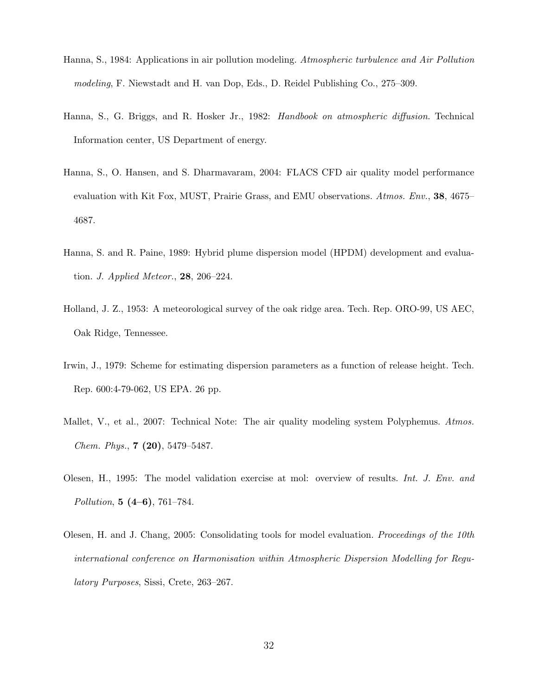- Hanna, S., 1984: Applications in air pollution modeling. Atmospheric turbulence and Air Pollution modeling, F. Niewstadt and H. van Dop, Eds., D. Reidel Publishing Co., 275–309.
- Hanna, S., G. Briggs, and R. Hosker Jr., 1982: Handbook on atmospheric diffusion. Technical Information center, US Department of energy.
- Hanna, S., O. Hansen, and S. Dharmavaram, 2004: FLACS CFD air quality model performance evaluation with Kit Fox, MUST, Prairie Grass, and EMU observations. Atmos. Env., 38, 4675– 4687.
- Hanna, S. and R. Paine, 1989: Hybrid plume dispersion model (HPDM) development and evaluation. J. Applied Meteor., 28, 206–224.
- Holland, J. Z., 1953: A meteorological survey of the oak ridge area. Tech. Rep. ORO-99, US AEC, Oak Ridge, Tennessee.
- Irwin, J., 1979: Scheme for estimating dispersion parameters as a function of release height. Tech. Rep. 600:4-79-062, US EPA. 26 pp.
- Mallet, V., et al., 2007: Technical Note: The air quality modeling system Polyphemus. Atmos. Chem. Phys., 7 (20), 5479–5487.
- Olesen, H., 1995: The model validation exercise at mol: overview of results. Int. J. Env. and Pollution, 5 (4–6), 761–784.
- Olesen, H. and J. Chang, 2005: Consolidating tools for model evaluation. Proceedings of the 10th international conference on Harmonisation within Atmospheric Dispersion Modelling for Regulatory Purposes, Sissi, Crete, 263–267.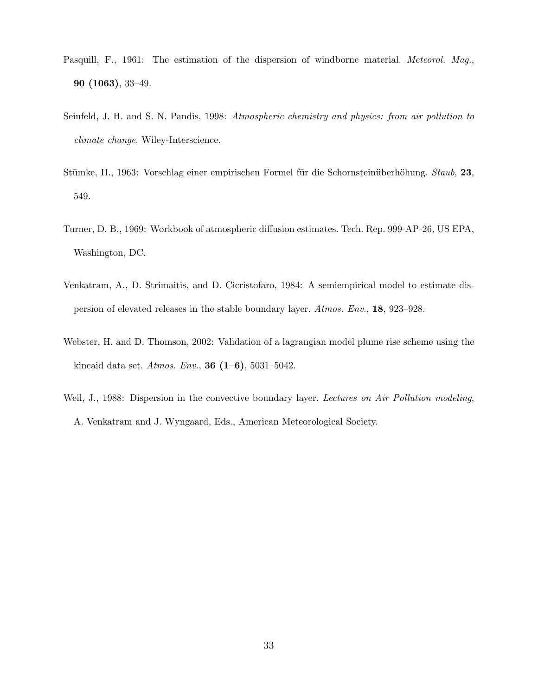- Pasquill, F., 1961: The estimation of the dispersion of windborne material. *Meteorol. Mag.*, 90 (1063), 33–49.
- Seinfeld, J. H. and S. N. Pandis, 1998: Atmospheric chemistry and physics: from air pollution to climate change. Wiley-Interscience.
- Stümke, H., 1963: Vorschlag einer empirischen Formel für die Schornsteinüberhöhung. Staub, 23, 549.
- Turner, D. B., 1969: Workbook of atmospheric diffusion estimates. Tech. Rep. 999-AP-26, US EPA, Washington, DC.
- Venkatram, A., D. Strimaitis, and D. Cicristofaro, 1984: A semiempirical model to estimate dispersion of elevated releases in the stable boundary layer. Atmos. Env., 18, 923–928.
- Webster, H. and D. Thomson, 2002: Validation of a lagrangian model plume rise scheme using the kincaid data set. Atmos. Env., **36**  $(1-6)$ , 5031-5042.
- Weil, J., 1988: Dispersion in the convective boundary layer. Lectures on Air Pollution modeling, A. Venkatram and J. Wyngaard, Eds., American Meteorological Society.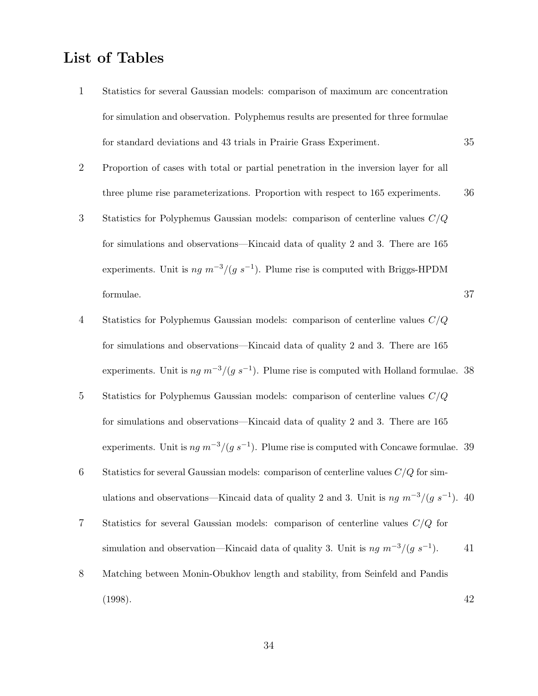## List of Tables

- 1 Statistics for several Gaussian models: comparison of maximum arc concentration for simulation and observation. Polyphemus results are presented for three formulae for standard deviations and 43 trials in Prairie Grass Experiment. 35
- 2 Proportion of cases with total or partial penetration in the inversion layer for all three plume rise parameterizations. Proportion with respect to 165 experiments. 36
- 3 Statistics for Polyphemus Gaussian models: comparison of centerline values C/Q for simulations and observations—Kincaid data of quality 2 and 3. There are 165 experiments. Unit is  $ng m^{-3}/(g s^{-1})$ . Plume rise is computed with Briggs-HPDM formulae.  $37$
- 4 Statistics for Polyphemus Gaussian models: comparison of centerline values C/Q for simulations and observations—Kincaid data of quality 2 and 3. There are 165 experiments. Unit is  $ng m^{-3}/(g s^{-1})$ . Plume rise is computed with Holland formulae. 38
- 5 Statistics for Polyphemus Gaussian models: comparison of centerline values C/Q for simulations and observations—Kincaid data of quality 2 and 3. There are 165 experiments. Unit is  $ng m^{-3}/(g s^{-1})$ . Plume rise is computed with Concawe formulae. 39
- 6 Statistics for several Gaussian models: comparison of centerline values  $C/Q$  for simulations and observations—Kincaid data of quality 2 and 3. Unit is  $ng m^{-3}/(g s^{-1})$ . 40
- 7 Statistics for several Gaussian models: comparison of centerline values C/Q for simulation and observation—Kincaid data of quality 3. Unit is  $ng m^{-3}/(g s^{-1})$ . ). 41
- 8 Matching between Monin-Obukhov length and stability, from Seinfeld and Pandis (1998). 42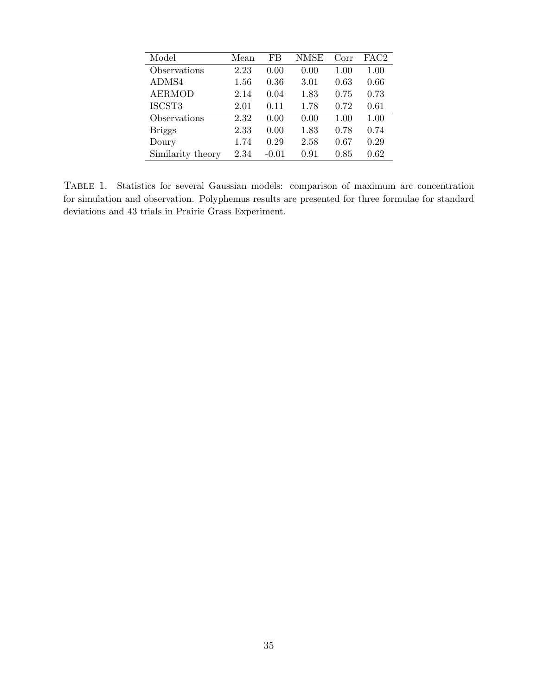| Model             | Mean | FB      | NMSE | Corr | FAC2     |
|-------------------|------|---------|------|------|----------|
| Observations      | 2.23 | 0.00    | 0.00 | 1.00 | 1.00     |
| ADMS4             | 1.56 | 0.36    | 3.01 | 0.63 | 0.66     |
| <b>AERMOD</b>     | 2.14 | 0.04    | 1.83 | 0.75 | 0.73     |
| ISCST3            | 2.01 | 0.11    | 1.78 | 0.72 | 0.61     |
| Observations      | 2.32 | 0.00    | 0.00 | 1.00 | 1.00     |
| <b>Briggs</b>     | 2.33 | 0.00    | 1.83 | 0.78 | 0.74     |
| Doury             | 1.74 | 0.29    | 2.58 | 0.67 | 0.29     |
| Similarity theory | 2.34 | $-0.01$ | 0.91 | 0.85 | $0.62\,$ |

Table 1. Statistics for several Gaussian models: comparison of maximum arc concentration for simulation and observation. Polyphemus results are presented for three formulae for standard deviations and 43 trials in Prairie Grass Experiment.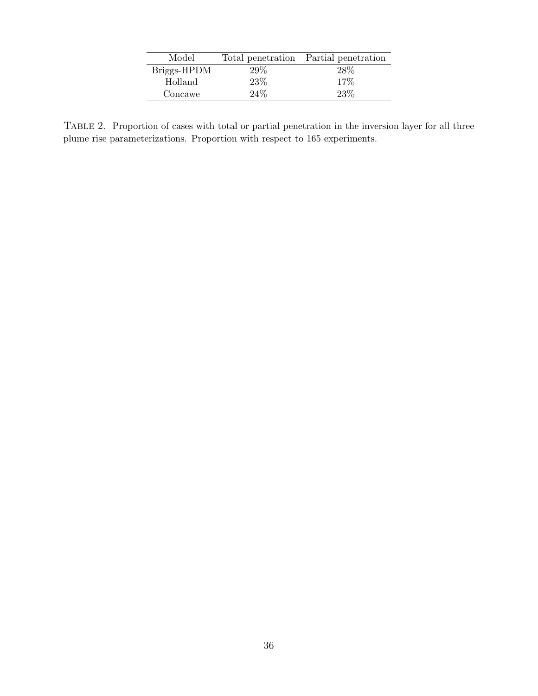| Model       |      | Total penetration Partial penetration |
|-------------|------|---------------------------------------|
| Briggs-HPDM | 29%  | 28\%                                  |
| Holland     | 23\% | 17%                                   |
| Concawe     | 24%  | 23%                                   |

Table 2. Proportion of cases with total or partial penetration in the inversion layer for all three plume rise parameterizations. Proportion with respect to 165 experiments.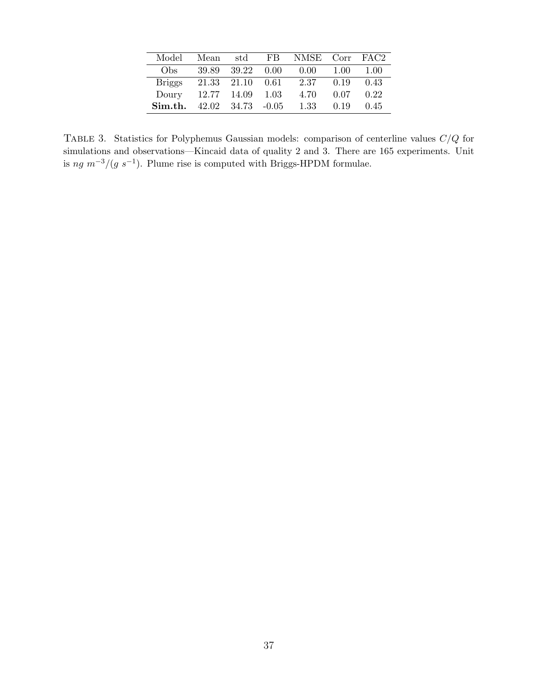| Model         | Mean        | std                             |      | FB NMSE Corr FAC2 |      |      |
|---------------|-------------|---------------------------------|------|-------------------|------|------|
| Obs           | 39.89       | 39.22                           | 0.00 | 0.00              | 1.00 | 1.00 |
| <b>Briggs</b> | 21.33       | 21.10                           | 0.61 | 2.37              | 0.19 | 0.43 |
| Doury         | 12.77 14.09 |                                 | 1.03 | 4.70              | 0.07 | 0.22 |
| Sim.th.       |             | $42.02 \quad 34.73 \quad -0.05$ |      | 1.33              | 0.19 | 0.45 |

TABLE 3. Statistics for Polyphemus Gaussian models: comparison of centerline values  $C/Q$  for simulations and observations—Kincaid data of quality 2 and 3. There are 165 experiments. Unit is ng  $m^{-3}/(g s^{-1})$ . Plume rise is computed with Briggs-HPDM formulae.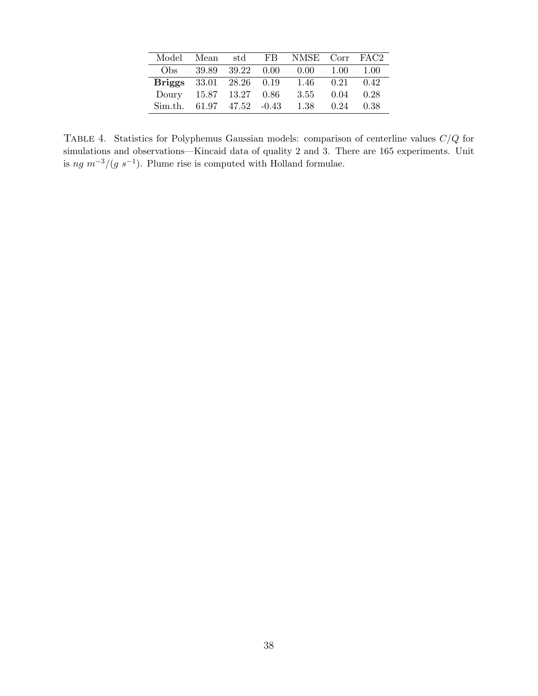| Model         | Mean | $_{\rm std}$            | FB NMSE Corr FAC2 |      |      |
|---------------|------|-------------------------|-------------------|------|------|
| Obs -         |      | 39.89 39.22 0.00        | - 0.00            | 1.00 | 1.00 |
| <b>Briggs</b> |      | 33.01 28.26 0.19        | -1.46             | 0.21 | 0.42 |
| Doury         |      | 15.87 13.27 0.86        | 3.55              | 0.04 | 0.28 |
| Sim.th.       |      | $61.97$ $47.52$ $-0.43$ | 1.38              | 0.24 | 0.38 |

TABLE 4. Statistics for Polyphemus Gaussian models: comparison of centerline values  $C/Q$  for simulations and observations—Kincaid data of quality 2 and 3. There are 165 experiments. Unit is ng  $m^{-3}/(g s^{-1})$ . Plume rise is computed with Holland formulae.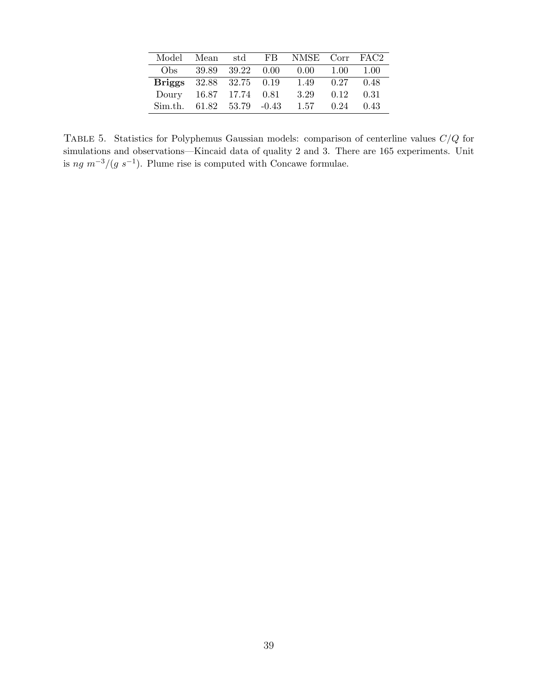| Model         | Mean | $_{\rm std}$                               | FB NMSE Corr FAC2 |      |      |
|---------------|------|--------------------------------------------|-------------------|------|------|
| Obs -         |      | 39.89 39.22 0.00                           | - 0.00            | 1.00 | 1.00 |
| <b>Briggs</b> |      | 32.88 32.75 0.19                           | 1.49              | 0.27 | 0.48 |
| Doury         |      | 16.87 17.74 0.81                           | 3.29              | 0.12 | 0.31 |
| Sim.th.       |      | $61.82 \quad 53.79 \quad -0.43 \quad 1.57$ |                   | 0.24 | 0.43 |

TABLE 5. Statistics for Polyphemus Gaussian models: comparison of centerline values  $C/Q$  for simulations and observations—Kincaid data of quality 2 and 3. There are 165 experiments. Unit is ng  $m^{-3}/(g s^{-1})$ . Plume rise is computed with Concawe formulae.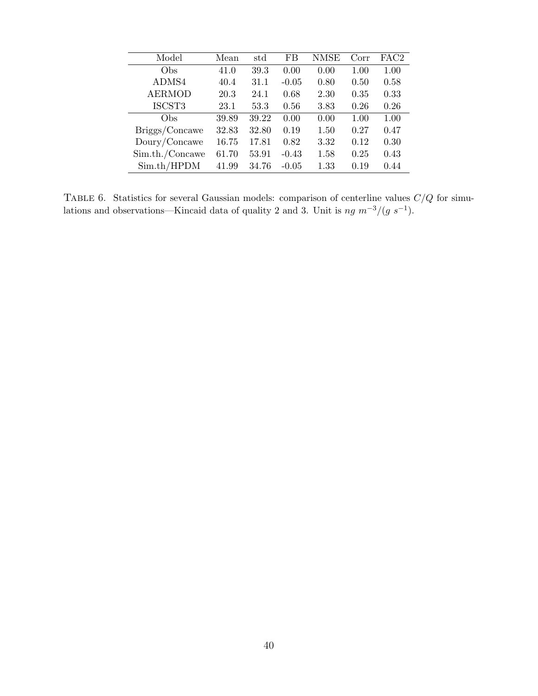| Model           | Mean  | std   | FB      | NMSE | Corr | FAC2 |
|-----------------|-------|-------|---------|------|------|------|
| Obs             | 41.0  | 39.3  | 0.00    | 0.00 | 1.00 | 1.00 |
| ADMS4           | 40.4  | 31.1  | $-0.05$ | 0.80 | 0.50 | 0.58 |
| <b>AERMOD</b>   | 20.3  | 24.1  | 0.68    | 2.30 | 0.35 | 0.33 |
| ISCST3          | 23.1  | 53.3  | 0.56    | 3.83 | 0.26 | 0.26 |
| Obs             | 39.89 | 39.22 | 0.00    | 0.00 | 1.00 | 1.00 |
| Briggs/Concawe  | 32.83 | 32.80 | 0.19    | 1.50 | 0.27 | 0.47 |
| Doury/Concawe   | 16.75 | 17.81 | 0.82    | 3.32 | 0.12 | 0.30 |
| Sim.th./Concawe | 61.70 | 53.91 | $-0.43$ | 1.58 | 0.25 | 0.43 |
| Sim.th/HPDM     | 41.99 | 34.76 | $-0.05$ | 1.33 | 0.19 | 0.44 |

TABLE 6. Statistics for several Gaussian models: comparison of centerline values  $C/Q$  for simulations and observations—Kincaid data of quality 2 and 3. Unit is  $ng \, m^{-3}/(g \, s^{-1})$ .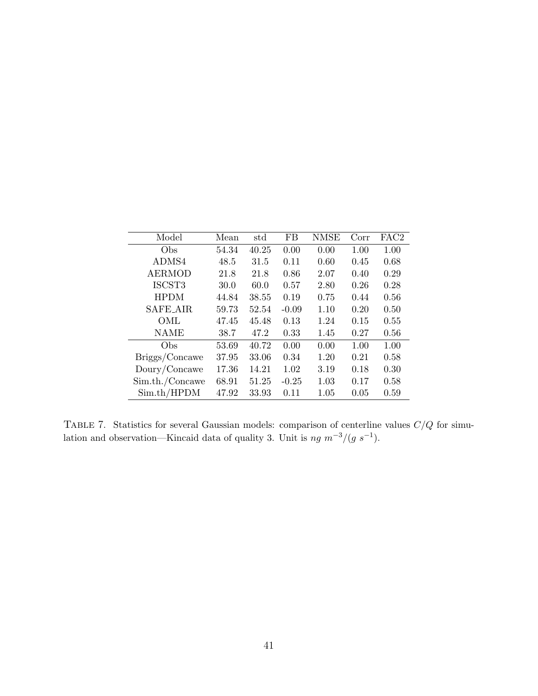| Model           | Mean  | std   | FB      | <b>NMSE</b> | Corr | FAC <sub>2</sub> |
|-----------------|-------|-------|---------|-------------|------|------------------|
| Obs             | 54.34 | 40.25 | 0.00    | 0.00        | 1.00 | 1.00             |
| ADMS4           | 48.5  | 31.5  | 0.11    | 0.60        | 0.45 | 0.68             |
| <b>AERMOD</b>   | 21.8  | 21.8  | 0.86    | 2.07        | 0.40 | 0.29             |
| ISCST3          | 30.0  | 60.0  | 0.57    | 2.80        | 0.26 | 0.28             |
| <b>HPDM</b>     | 44.84 | 38.55 | 0.19    | 0.75        | 0.44 | 0.56             |
| <b>SAFE_AIR</b> | 59.73 | 52.54 | $-0.09$ | 1.10        | 0.20 | 0.50             |
| OML             | 47.45 | 45.48 | 0.13    | 1.24        | 0.15 | 0.55             |
| <b>NAME</b>     | 38.7  | 47.2  | 0.33    | 1.45        | 0.27 | 0.56             |
| Obs             | 53.69 | 40.72 | 0.00    | 0.00        | 1.00 | 1.00             |
| Briggs/Concawe  | 37.95 | 33.06 | 0.34    | 1.20        | 0.21 | 0.58             |
| Doury/Concawe   | 17.36 | 14.21 | 1.02    | 3.19        | 0.18 | 0.30             |
| Sim.th./Concawe | 68.91 | 51.25 | $-0.25$ | 1.03        | 0.17 | 0.58             |
| Sim.th/HPDM     | 47.92 | 33.93 | 0.11    | $1.05\,$    | 0.05 | 0.59             |

TABLE 7. Statistics for several Gaussian models: comparison of centerline values  $C/Q$  for simulation and observation—Kincaid data of quality 3. Unit is  $ng \, m^{-3}/(g \, s^{-1})$ .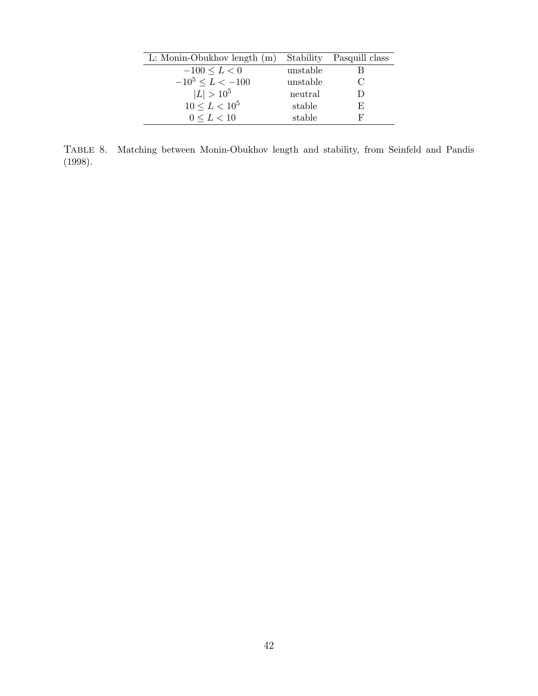| L: Monin-Obukhov length $(m)$ |          | Stability Pasquill class |
|-------------------------------|----------|--------------------------|
| $-100 \le L < 0$              | unstable |                          |
| $-10^5 \le L < -100$          | unstable |                          |
| $ L  > 10^5$                  | neutral  |                          |
| $10 \le L < 10^5$             | stable   | F.                       |
| $0 \leq L < 10$               | stable   | F,                       |
|                               |          |                          |

Table 8. Matching between Monin-Obukhov length and stability, from Seinfeld and Pandis (1998).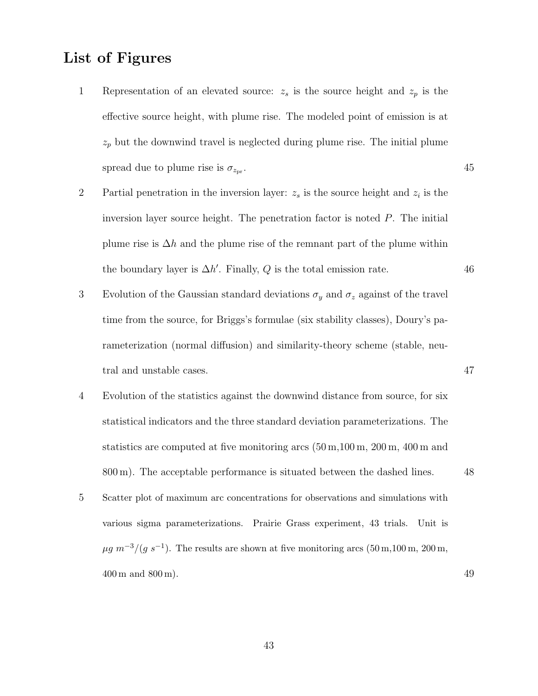## List of Figures

- 1 Representation of an elevated source:  $z_s$  is the source height and  $z_p$  is the effective source height, with plume rise. The modeled point of emission is at  $z_p$  but the downwind travel is neglected during plume rise. The initial plume spread due to plume rise is  $\sigma_{z_{\text{pr}}}$ . . 45
- 2 Partial penetration in the inversion layer:  $z_s$  is the source height and  $z_i$  is the inversion layer source height. The penetration factor is noted  $P$ . The initial plume rise is  $\Delta h$  and the plume rise of the remnant part of the plume within the boundary layer is  $\Delta h'$ . Finally, Q is the total emission rate. 46
- 3 Evolution of the Gaussian standard deviations  $\sigma_y$  and  $\sigma_z$  against of the travel time from the source, for Briggs's formulae (six stability classes), Doury's parameterization (normal diffusion) and similarity-theory scheme (stable, neutral and unstable cases.  $47$
- 4 Evolution of the statistics against the downwind distance from source, for six statistical indicators and the three standard deviation parameterizations. The statistics are computed at five monitoring arcs  $(50 \,\mathrm{m}, 100 \,\mathrm{m}, 200 \,\mathrm{m}, 400 \,\mathrm{m}$  and 800 m). The acceptable performance is situated between the dashed lines. 48
- 5 Scatter plot of maximum arc concentrations for observations and simulations with various sigma parameterizations. Prairie Grass experiment, 43 trials. Unit is  $\mu g \, m^{-3} / (g \, s^{-1})$ . The results are shown at five monitoring arcs  $(50 \,\mathrm{m}, 100 \,\mathrm{m}, 200 \,\mathrm{m},$  $400 \,\mathrm{m}$  and  $800 \,\mathrm{m}$ ).  $49$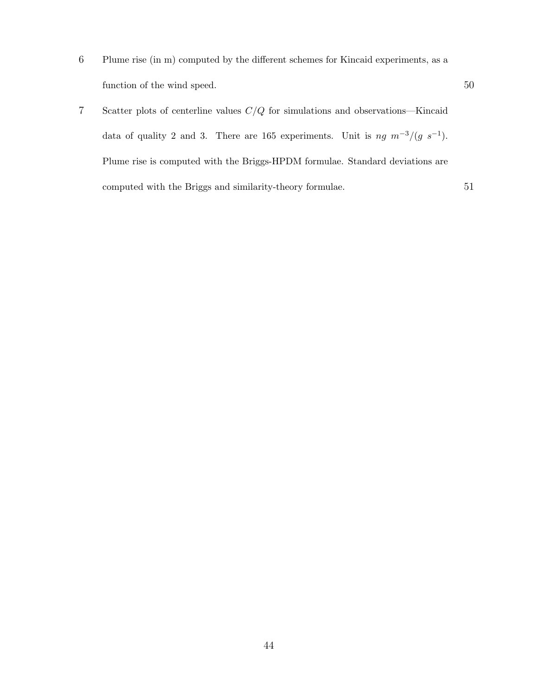- 6 Plume rise (in m) computed by the different schemes for Kincaid experiments, as a function of the wind speed. 50
- 7 Scatter plots of centerline values C/Q for simulations and observations—Kincaid data of quality 2 and 3. There are 165 experiments. Unit is  $ng \, m^{-3}/(g \, s^{-1})$ . Plume rise is computed with the Briggs-HPDM formulae. Standard deviations are computed with the Briggs and similarity-theory formulae. 51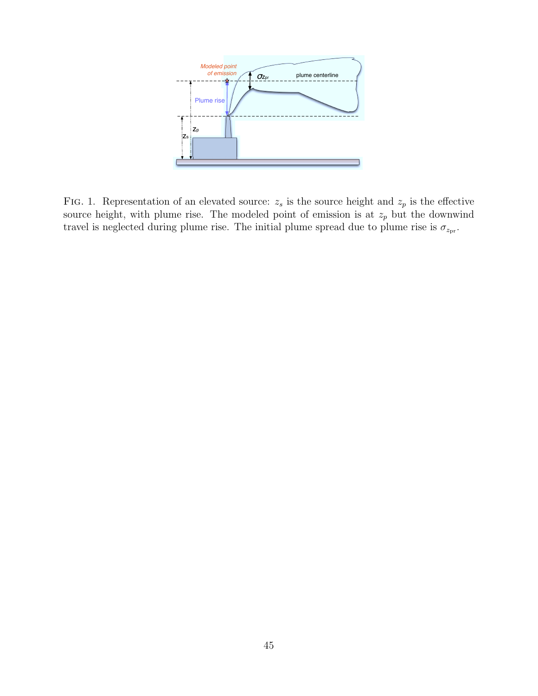

FIG. 1. Representation of an elevated source:  $z_s$  is the source height and  $z_p$  is the effective source height, with plume rise. The modeled point of emission is at  $z_p$  but the downwind travel is neglected during plume rise. The initial plume spread due to plume rise is  $\sigma_{z_{\text{pr}}}$ .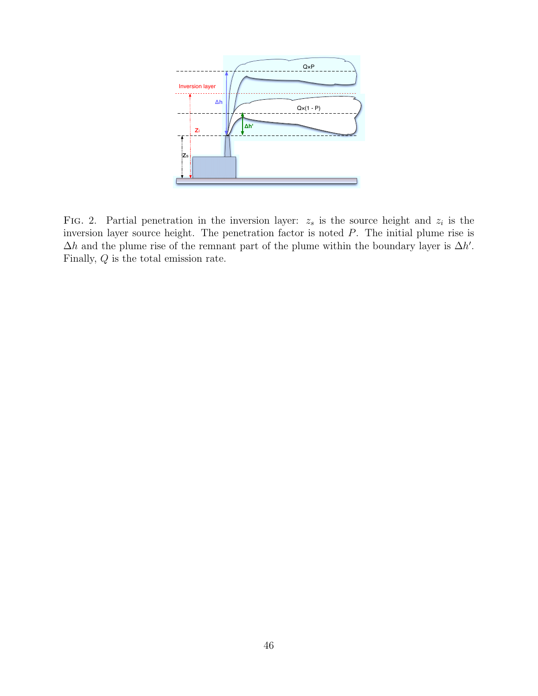

FIG. 2. Partial penetration in the inversion layer:  $z_s$  is the source height and  $z_i$  is the inversion layer source height. The penetration factor is noted P. The initial plume rise is  $\Delta h$  and the plume rise of the remnant part of the plume within the boundary layer is  $\Delta h'$ . Finally, Q is the total emission rate.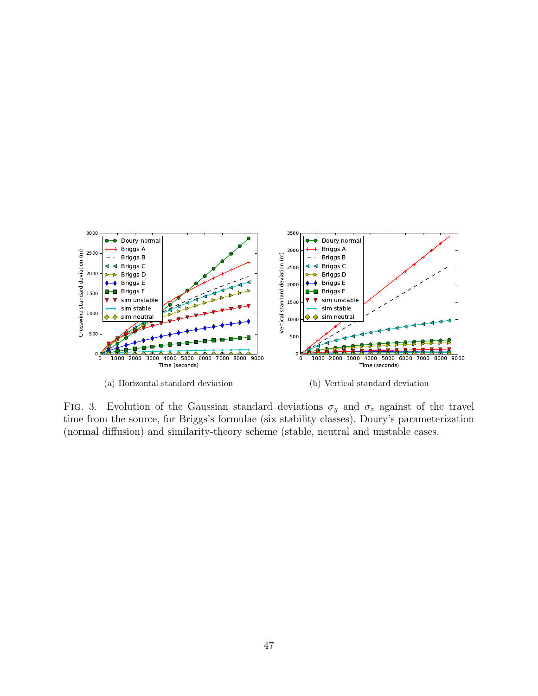

FIG. 3. Evolution of the Gaussian standard deviations  $\sigma_y$  and  $\sigma_z$  against of the travel time from the source, for Briggs's formulae (six stability classes), Doury's parameterization (normal diffusion) and similarity-theory scheme (stable, neutral and unstable cases.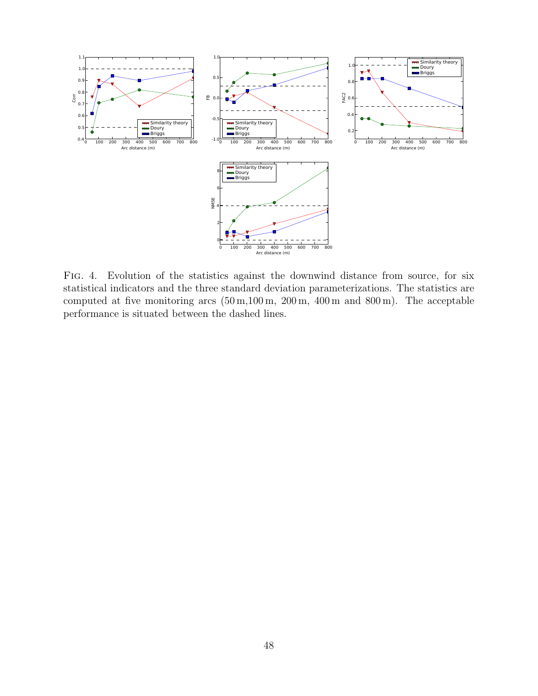

Fig. 4. Evolution of the statistics against the downwind distance from source, for six statistical indicators and the three standard deviation parameterizations. The statistics are computed at five monitoring arcs (50 m,100 m, 200 m, 400 m and 800 m). The acceptable performance is situated between the dashed lines.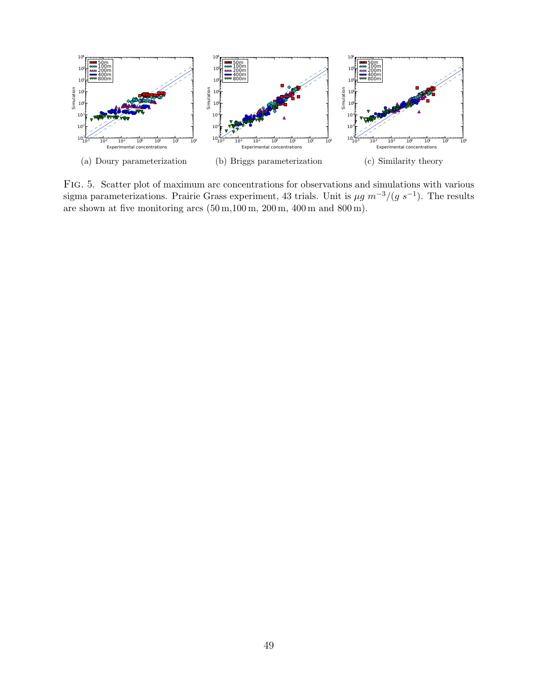

Fig. 5. Scatter plot of maximum arc concentrations for observations and simulations with various sigma parameterizations. Prairie Grass experiment, 43 trials. Unit is  $\mu g m^{-3}/(g s^{-1})$ . The results are shown at five monitoring arcs  $(50 \text{ m},100 \text{ m}, 200 \text{ m}, 400 \text{ m} \text{ and } 800 \text{ m}).$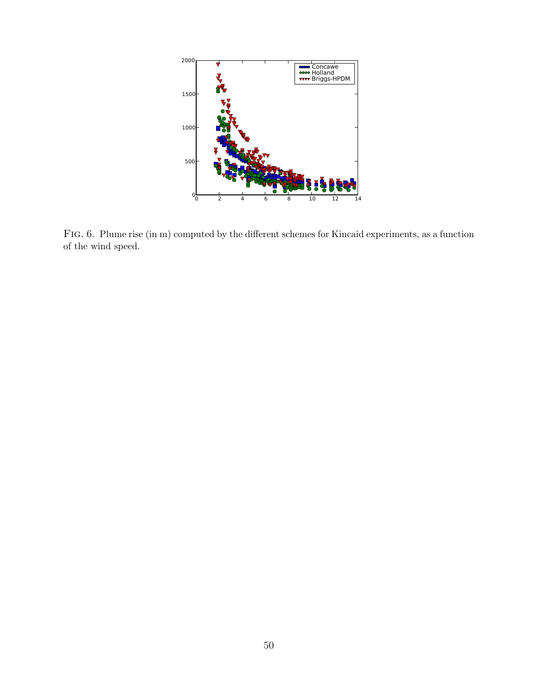

Fig. 6. Plume rise (in m) computed by the different schemes for Kincaid experiments, as a function of the wind speed.